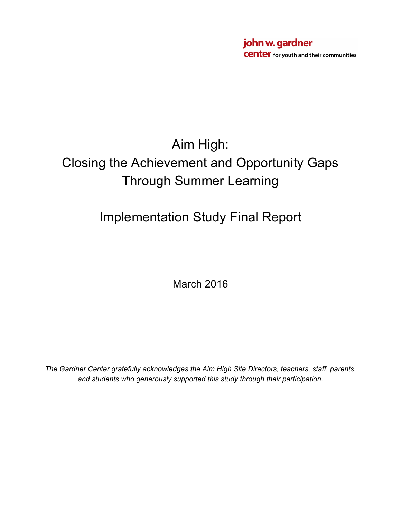john w. gardner **Center** for youth and their communities

# Aim High: Closing the Achievement and Opportunity Gaps Through Summer Learning

# Implementation Study Final Report

March 2016

*The Gardner Center gratefully acknowledges the Aim High Site Directors, teachers, staff, parents, and students who generously supported this study through their participation.*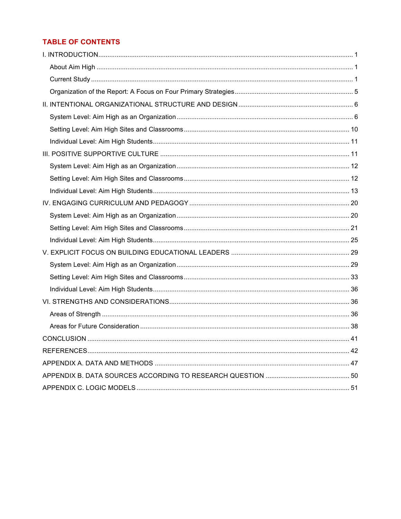## **TABLE OF CONTENTS**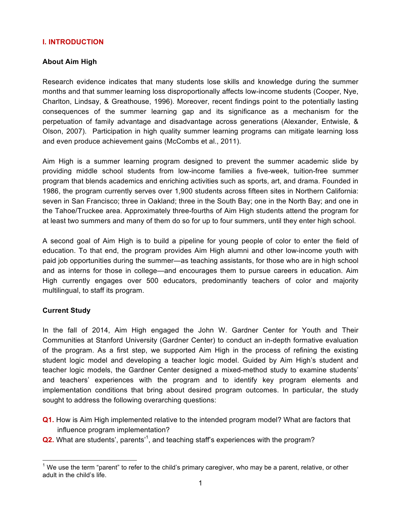## **I. INTRODUCTION**

#### **About Aim High**

Research evidence indicates that many students lose skills and knowledge during the summer months and that summer learning loss disproportionally affects low-income students (Cooper, Nye, Charlton, Lindsay, & Greathouse, 1996). Moreover, recent findings point to the potentially lasting consequences of the summer learning gap and its significance as a mechanism for the perpetuation of family advantage and disadvantage across generations (Alexander, Entwisle, & Olson, 2007). Participation in high quality summer learning programs can mitigate learning loss and even produce achievement gains (McCombs et al., 2011).

Aim High is a summer learning program designed to prevent the summer academic slide by providing middle school students from low-income families a five-week, tuition-free summer program that blends academics and enriching activities such as sports, art, and drama. Founded in 1986, the program currently serves over 1,900 students across fifteen sites in Northern California: seven in San Francisco; three in Oakland; three in the South Bay; one in the North Bay; and one in the Tahoe/Truckee area. Approximately three-fourths of Aim High students attend the program for at least two summers and many of them do so for up to four summers, until they enter high school.

A second goal of Aim High is to build a pipeline for young people of color to enter the field of education. To that end, the program provides Aim High alumni and other low-income youth with paid job opportunities during the summer—as teaching assistants, for those who are in high school and as interns for those in college—and encourages them to pursue careers in education. Aim High currently engages over 500 educators, predominantly teachers of color and majority multilingual, to staff its program.

## **Current Study**

In the fall of 2014, Aim High engaged the John W. Gardner Center for Youth and Their Communities at Stanford University (Gardner Center) to conduct an in-depth formative evaluation of the program. As a first step, we supported Aim High in the process of refining the existing student logic model and developing a teacher logic model. Guided by Aim High's student and teacher logic models, the Gardner Center designed a mixed-method study to examine students' and teachers' experiences with the program and to identify key program elements and implementation conditions that bring about desired program outcomes. In particular, the study sought to address the following overarching questions:

- **Q1.** How is Aim High implemented relative to the intended program model? What are factors that influence program implementation?
- **Q2.** What are students', parents<sup>'1</sup>, and teaching staff's experiences with the program?

 $1$  We use the term "parent" to refer to the child's primary caregiver, who may be a parent, relative, or other adult in the child's life.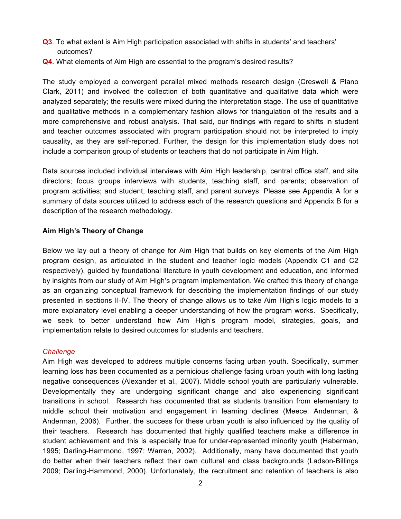- **Q3**. To what extent is Aim High participation associated with shifts in students' and teachers' outcomes?
- **Q4**. What elements of Aim High are essential to the program's desired results?

The study employed a convergent parallel mixed methods research design (Creswell & Plano Clark, 2011) and involved the collection of both quantitative and qualitative data which were analyzed separately; the results were mixed during the interpretation stage. The use of quantitative and qualitative methods in a complementary fashion allows for triangulation of the results and a more comprehensive and robust analysis. That said, our findings with regard to shifts in student and teacher outcomes associated with program participation should not be interpreted to imply causality, as they are self-reported. Further, the design for this implementation study does not include a comparison group of students or teachers that do not participate in Aim High.

Data sources included individual interviews with Aim High leadership, central office staff, and site directors; focus groups interviews with students, teaching staff, and parents; observation of program activities; and student, teaching staff, and parent surveys. Please see Appendix A for a summary of data sources utilized to address each of the research questions and Appendix B for a description of the research methodology.

## **Aim High's Theory of Change**

Below we lay out a theory of change for Aim High that builds on key elements of the Aim High program design, as articulated in the student and teacher logic models (Appendix C1 and C2 respectively), guided by foundational literature in youth development and education, and informed by insights from our study of Aim High's program implementation. We crafted this theory of change as an organizing conceptual framework for describing the implementation findings of our study presented in sections II-IV. The theory of change allows us to take Aim High's logic models to a more explanatory level enabling a deeper understanding of how the program works. Specifically, we seek to better understand how Aim High's program model, strategies, goals, and implementation relate to desired outcomes for students and teachers.

## *Challenge*

Aim High was developed to address multiple concerns facing urban youth. Specifically, summer learning loss has been documented as a pernicious challenge facing urban youth with long lasting negative consequences (Alexander et al., 2007). Middle school youth are particularly vulnerable. Developmentally they are undergoing significant change and also experiencing significant transitions in school. Research has documented that as students transition from elementary to middle school their motivation and engagement in learning declines (Meece, Anderman, & Anderman, 2006). Further, the success for these urban youth is also influenced by the quality of their teachers. Research has documented that highly qualified teachers make a difference in student achievement and this is especially true for under-represented minority youth (Haberman, 1995; Darling-Hammond, 1997; Warren, 2002). Additionally, many have documented that youth do better when their teachers reflect their own cultural and class backgrounds (Ladson-Billings 2009; Darling-Hammond, 2000). Unfortunately, the recruitment and retention of teachers is also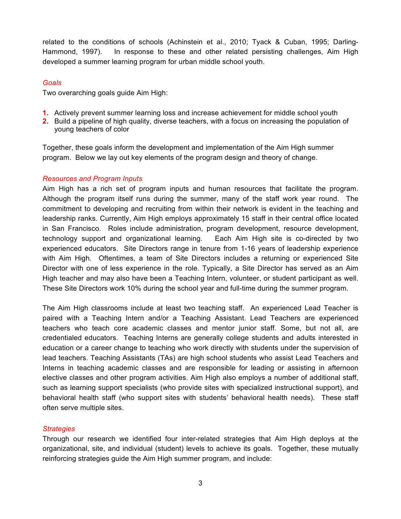related to the conditions of schools (Achinstein et al., 2010; Tyack & Cuban, 1995; Darling-Hammond, 1997). In response to these and other related persisting challenges, Aim High developed a summer learning program for urban middle school youth.

## *Goals*

Two overarching goals guide Aim High:

- **1.** Actively prevent summer learning loss and increase achievement for middle school youth
- **2.** Build a pipeline of high quality, diverse teachers, with a focus on increasing the population of young teachers of color

Together, these goals inform the development and implementation of the Aim High summer program. Below we lay out key elements of the program design and theory of change.

## *Resources and Program Inputs*

Aim High has a rich set of program inputs and human resources that facilitate the program. Although the program itself runs during the summer, many of the staff work year round. The commitment to developing and recruiting from within their network is evident in the teaching and leadership ranks. Currently, Aim High employs approximately 15 staff in their central office located in San Francisco. Roles include administration, program development, resource development, technology support and organizational learning. Each Aim High site is co-directed by two experienced educators. Site Directors range in tenure from 1-16 years of leadership experience with Aim High. Oftentimes, a team of Site Directors includes a returning or experienced Site Director with one of less experience in the role. Typically, a Site Director has served as an Aim High teacher and may also have been a Teaching Intern, volunteer, or student participant as well. These Site Directors work 10% during the school year and full-time during the summer program.

The Aim High classrooms include at least two teaching staff. An experienced Lead Teacher is paired with a Teaching Intern and/or a Teaching Assistant. Lead Teachers are experienced teachers who teach core academic classes and mentor junior staff. Some, but not all, are credentialed educators. Teaching Interns are generally college students and adults interested in education or a career change to teaching who work directly with students under the supervision of lead teachers. Teaching Assistants (TAs) are high school students who assist Lead Teachers and Interns in teaching academic classes and are responsible for leading or assisting in afternoon elective classes and other program activities. Aim High also employs a number of additional staff, such as learning support specialists (who provide sites with specialized instructional support), and behavioral health staff (who support sites with students' behavioral health needs). These staff often serve multiple sites.

## *Strategies*

Through our research we identified four inter-related strategies that Aim High deploys at the organizational, site, and individual (student) levels to achieve its goals. Together, these mutually reinforcing strategies guide the Aim High summer program, and include: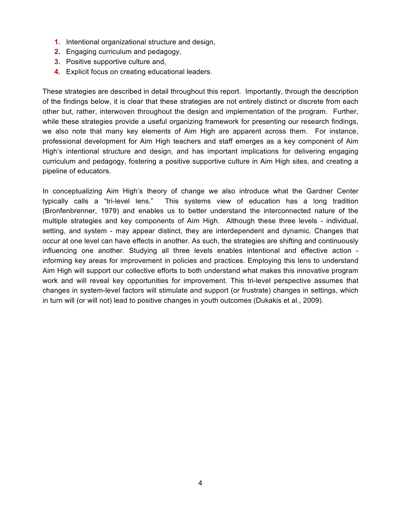- **1.** Intentional organizational structure and design,
- **2.** Engaging curriculum and pedagogy,
- **3.** Positive supportive culture and,
- **4.** Explicit focus on creating educational leaders.

These strategies are described in detail throughout this report. Importantly, through the description of the findings below, it is clear that these strategies are not entirely distinct or discrete from each other but, rather, interwoven throughout the design and implementation of the program. Further, while these strategies provide a useful organizing framework for presenting our research findings, we also note that many key elements of Aim High are apparent across them. For instance, professional development for Aim High teachers and staff emerges as a key component of Aim High's intentional structure and design, and has important implications for delivering engaging curriculum and pedagogy, fostering a positive supportive culture in Aim High sites, and creating a pipeline of educators.

In conceptualizing Aim High's theory of change we also introduce what the Gardner Center typically calls a "tri-level lens." This systems view of education has a long tradition (Bronfenbrenner, 1979) and enables us to better understand the interconnected nature of the multiple strategies and key components of Aim High. Although these three levels - individual, setting, and system - may appear distinct, they are interdependent and dynamic. Changes that occur at one level can have effects in another. As such, the strategies are shifting and continuously influencing one another. Studying all three levels enables intentional and effective action informing key areas for improvement in policies and practices. Employing this lens to understand Aim High will support our collective efforts to both understand what makes this innovative program work and will reveal key opportunities for improvement. This tri-level perspective assumes that changes in system-level factors will stimulate and support (or frustrate) changes in settings, which in turn will (or will not) lead to positive changes in youth outcomes (Dukakis et al., 2009).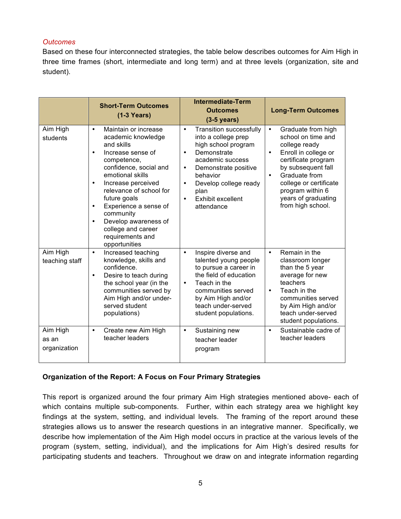## *Outcomes*

Based on these four interconnected strategies, the table below describes outcomes for Aim High in three time frames (short, intermediate and long term) and at three levels (organization, site and student).

|                                   | <b>Short-Term Outcomes</b><br>$(1-3$ Years)                                                                                                                                                                                                                                                                                                                                                           | <b>Intermediate-Term</b><br><b>Outcomes</b><br>$(3-5$ years)                                                                                                                                                                                                                             | <b>Long-Term Outcomes</b>                                                                                                                                                                                                                                                        |
|-----------------------------------|-------------------------------------------------------------------------------------------------------------------------------------------------------------------------------------------------------------------------------------------------------------------------------------------------------------------------------------------------------------------------------------------------------|------------------------------------------------------------------------------------------------------------------------------------------------------------------------------------------------------------------------------------------------------------------------------------------|----------------------------------------------------------------------------------------------------------------------------------------------------------------------------------------------------------------------------------------------------------------------------------|
| Aim High<br>students              | Maintain or increase<br>$\bullet$<br>academic knowledge<br>and skills<br>Increase sense of<br>$\bullet$<br>competence,<br>confidence, social and<br>emotional skills<br>Increase perceived<br>$\bullet$<br>relevance of school for<br>future goals<br>Experience a sense of<br>$\bullet$<br>community<br>Develop awareness of<br>$\bullet$<br>college and career<br>requirements and<br>opportunities | <b>Transition successfully</b><br>$\bullet$<br>into a college prep<br>high school program<br>Demonstrate<br>$\bullet$<br>academic success<br>Demonstrate positive<br>$\bullet$<br>behavior<br>Develop college ready<br>$\bullet$<br>plan<br>Exhibit excellent<br>$\bullet$<br>attendance | Graduate from high<br>$\bullet$<br>school on time and<br>college ready<br>Enroll in college or<br>$\bullet$<br>certificate program<br>by subsequent fall<br>Graduate from<br>$\bullet$<br>college or certificate<br>program within 6<br>years of graduating<br>from high school. |
| Aim High<br>teaching staff        | Increased teaching<br>$\bullet$<br>knowledge, skills and<br>confidence.<br>Desire to teach during<br>$\bullet$<br>the school year (in the<br>communities served by<br>Aim High and/or under-<br>served student<br>populations)                                                                                                                                                                        | Inspire diverse and<br>$\bullet$<br>talented young people<br>to pursue a career in<br>the field of education<br>Teach in the<br>$\bullet$<br>communities served<br>by Aim High and/or<br>teach under-served<br>student populations.                                                      | Remain in the<br>$\bullet$<br>classroom longer<br>than the 5 year<br>average for new<br>teachers<br>Teach in the<br>$\bullet$<br>communities served<br>by Aim High and/or<br>teach under-served<br>student populations.                                                          |
| Aim High<br>as an<br>organization | Create new Aim High<br>$\bullet$<br>teacher leaders                                                                                                                                                                                                                                                                                                                                                   | Sustaining new<br>$\bullet$<br>teacher leader<br>program                                                                                                                                                                                                                                 | Sustainable cadre of<br>$\bullet$<br>teacher leaders                                                                                                                                                                                                                             |

## **Organization of the Report: A Focus on Four Primary Strategies**

This report is organized around the four primary Aim High strategies mentioned above- each of which contains multiple sub-components. Further, within each strategy area we highlight key findings at the system, setting, and individual levels. The framing of the report around these strategies allows us to answer the research questions in an integrative manner. Specifically, we describe how implementation of the Aim High model occurs in practice at the various levels of the program (system, setting, individual), and the implications for Aim High's desired results for participating students and teachers. Throughout we draw on and integrate information regarding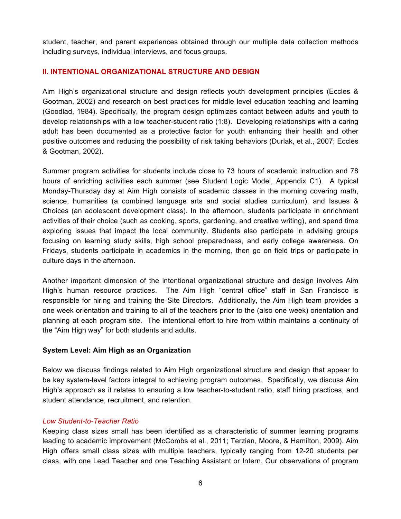student, teacher, and parent experiences obtained through our multiple data collection methods including surveys, individual interviews, and focus groups.

## **II. INTENTIONAL ORGANIZATIONAL STRUCTURE AND DESIGN**

Aim High's organizational structure and design reflects youth development principles (Eccles & Gootman, 2002) and research on best practices for middle level education teaching and learning (Goodlad, 1984). Specifically, the program design optimizes contact between adults and youth to develop relationships with a low teacher-student ratio (1:8). Developing relationships with a caring adult has been documented as a protective factor for youth enhancing their health and other positive outcomes and reducing the possibility of risk taking behaviors (Durlak, et al., 2007; Eccles & Gootman, 2002).

Summer program activities for students include close to 73 hours of academic instruction and 78 hours of enriching activities each summer (see Student Logic Model, Appendix C1). A typical Monday-Thursday day at Aim High consists of academic classes in the morning covering math, science, humanities (a combined language arts and social studies curriculum), and Issues & Choices (an adolescent development class). In the afternoon, students participate in enrichment activities of their choice (such as cooking, sports, gardening, and creative writing), and spend time exploring issues that impact the local community. Students also participate in advising groups focusing on learning study skills, high school preparedness, and early college awareness. On Fridays, students participate in academics in the morning, then go on field trips or participate in culture days in the afternoon.

Another important dimension of the intentional organizational structure and design involves Aim High's human resource practices. The Aim High "central office" staff in San Francisco is responsible for hiring and training the Site Directors. Additionally, the Aim High team provides a one week orientation and training to all of the teachers prior to the (also one week) orientation and planning at each program site. The intentional effort to hire from within maintains a continuity of the "Aim High way" for both students and adults.

## **System Level: Aim High as an Organization**

Below we discuss findings related to Aim High organizational structure and design that appear to be key system-level factors integral to achieving program outcomes. Specifically, we discuss Aim High's approach as it relates to ensuring a low teacher-to-student ratio, staff hiring practices, and student attendance, recruitment, and retention.

## *Low Student-to-Teacher Ratio*

Keeping class sizes small has been identified as a characteristic of summer learning programs leading to academic improvement (McCombs et al., 2011; Terzian, Moore, & Hamilton, 2009). Aim High offers small class sizes with multiple teachers, typically ranging from 12-20 students per class, with one Lead Teacher and one Teaching Assistant or Intern. Our observations of program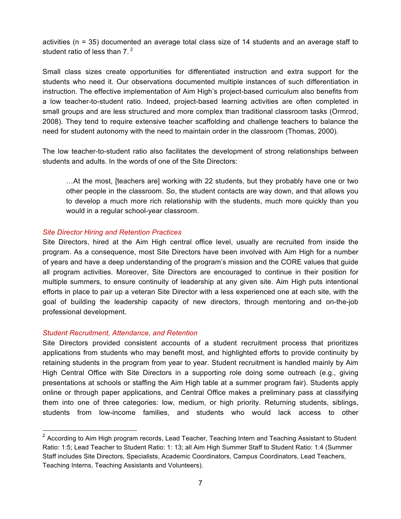activities (n = 35) documented an average total class size of 14 students and an average staff to student ratio of less than  $7<sup>2</sup>$ 

Small class sizes create opportunities for differentiated instruction and extra support for the students who need it. Our observations documented multiple instances of such differentiation in instruction. The effective implementation of Aim High's project-based curriculum also benefits from a low teacher-to-student ratio. Indeed, project-based learning activities are often completed in small groups and are less structured and more complex than traditional classroom tasks (Ormrod, 2008). They tend to require extensive teacher scaffolding and challenge teachers to balance the need for student autonomy with the need to maintain order in the classroom (Thomas, 2000).

The low teacher-to-student ratio also facilitates the development of strong relationships between students and adults. In the words of one of the Site Directors:

…At the most, [teachers are] working with 22 students, but they probably have one or two other people in the classroom. So, the student contacts are way down, and that allows you to develop a much more rich relationship with the students, much more quickly than you would in a regular school-year classroom.

## *Site Director Hiring and Retention Practices*

Site Directors, hired at the Aim High central office level, usually are recruited from inside the program. As a consequence, most Site Directors have been involved with Aim High for a number of years and have a deep understanding of the program's mission and the CORE values that guide all program activities. Moreover, Site Directors are encouraged to continue in their position for multiple summers, to ensure continuity of leadership at any given site. Aim High puts intentional efforts in place to pair up a veteran Site Director with a less experienced one at each site, with the goal of building the leadership capacity of new directors, through mentoring and on-the-job professional development.

## *Student Recruitment, Attendance, and Retention*

Site Directors provided consistent accounts of a student recruitment process that prioritizes applications from students who may benefit most, and highlighted efforts to provide continuity by retaining students in the program from year to year. Student recruitment is handled mainly by Aim High Central Office with Site Directors in a supporting role doing some outreach (e.g., giving presentations at schools or staffing the Aim High table at a summer program fair). Students apply online or through paper applications, and Central Office makes a preliminary pass at classifying them into one of three categories: low, medium, or high priority. Returning students, siblings, students from low-income families, and students who would lack access to other

 $2$  According to Aim High program records, Lead Teacher, Teaching Intern and Teaching Assistant to Student Ratio: 1:5; Lead Teacher to Student Ratio: 1: 13; all Aim High Summer Staff to Student Ratio: 1:4 (Summer Staff includes Site Directors, Specialists, Academic Coordinators, Campus Coordinators, Lead Teachers, Teaching Interns, Teaching Assistants and Volunteers).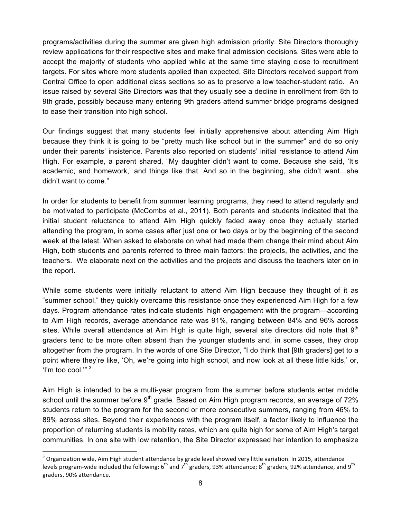programs/activities during the summer are given high admission priority. Site Directors thoroughly review applications for their respective sites and make final admission decisions. Sites were able to accept the majority of students who applied while at the same time staying close to recruitment targets. For sites where more students applied than expected, Site Directors received support from Central Office to open additional class sections so as to preserve a low teacher-student ratio. An issue raised by several Site Directors was that they usually see a decline in enrollment from 8th to 9th grade, possibly because many entering 9th graders attend summer bridge programs designed to ease their transition into high school.

Our findings suggest that many students feel initially apprehensive about attending Aim High because they think it is going to be "pretty much like school but in the summer" and do so only under their parents' insistence. Parents also reported on students' initial resistance to attend Aim High. For example, a parent shared, "My daughter didn't want to come. Because she said, 'It's academic, and homework,' and things like that. And so in the beginning, she didn't want…she didn't want to come."

In order for students to benefit from summer learning programs, they need to attend regularly and be motivated to participate (McCombs et al., 2011). Both parents and students indicated that the initial student reluctance to attend Aim High quickly faded away once they actually started attending the program, in some cases after just one or two days or by the beginning of the second week at the latest. When asked to elaborate on what had made them change their mind about Aim High, both students and parents referred to three main factors: the projects, the activities, and the teachers. We elaborate next on the activities and the projects and discuss the teachers later on in the report.

While some students were initially reluctant to attend Aim High because they thought of it as "summer school," they quickly overcame this resistance once they experienced Aim High for a few days. Program attendance rates indicate students' high engagement with the program—according to Aim High records, average attendance rate was 91%, ranging between 84% and 96% across sites. While overall attendance at Aim High is quite high, several site directors did note that  $9<sup>th</sup>$ graders tend to be more often absent than the younger students and, in some cases, they drop altogether from the program. In the words of one Site Director, "I do think that [9th graders] get to a point where they're like, 'Oh, we're going into high school, and now look at all these little kids,' or, 'I'm too cool.'" <sup>3</sup>

Aim High is intended to be a multi-year program from the summer before students enter middle school until the summer before  $9<sup>th</sup>$  grade. Based on Aim High program records, an average of 72% students return to the program for the second or more consecutive summers, ranging from 46% to 89% across sites. Beyond their experiences with the program itself, a factor likely to influence the proportion of returning students is mobility rates, which are quite high for some of Aim High's target communities. In one site with low retention, the Site Director expressed her intention to emphasize

 $3$  Organization wide, Aim High student attendance by grade level showed very little variation. In 2015, attendance levels program-wide included the following: 6<sup>th</sup> and 7<sup>th</sup> graders, 93% attendance; 8<sup>th</sup> graders, 92% attendance, and 9<sup>th</sup> graders, 90% attendance.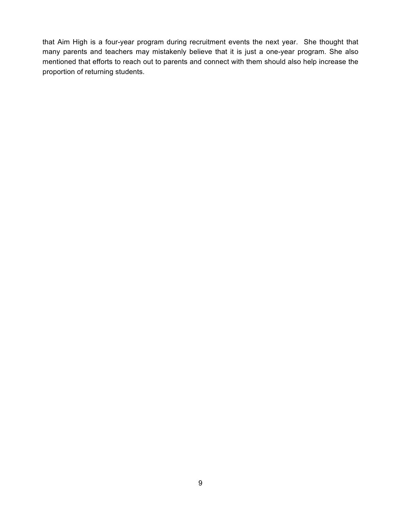that Aim High is a four-year program during recruitment events the next year. She thought that many parents and teachers may mistakenly believe that it is just a one-year program. She also mentioned that efforts to reach out to parents and connect with them should also help increase the proportion of returning students.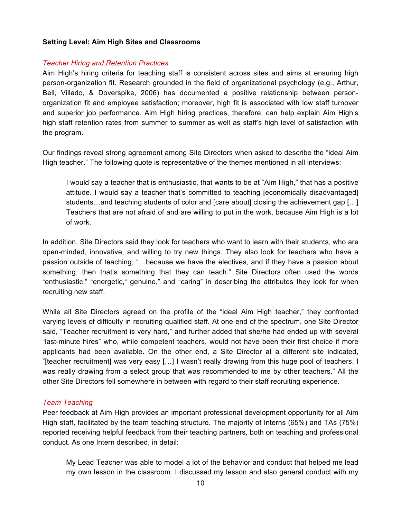#### **Setting Level: Aim High Sites and Classrooms**

#### *Teacher Hiring and Retention Practices*

Aim High's hiring criteria for teaching staff is consistent across sites and aims at ensuring high person-organization fit. Research grounded in the field of organizational psychology (e.g., Arthur, Bell, Villado, & Doverspike, 2006) has documented a positive relationship between personorganization fit and employee satisfaction; moreover, high fit is associated with low staff turnover and superior job performance. Aim High hiring practices, therefore, can help explain Aim High's high staff retention rates from summer to summer as well as staff's high level of satisfaction with the program.

Our findings reveal strong agreement among Site Directors when asked to describe the "ideal Aim High teacher." The following quote is representative of the themes mentioned in all interviews:

I would say a teacher that is enthusiastic, that wants to be at "Aim High," that has a positive attitude. I would say a teacher that's committed to teaching [economically disadvantaged] students…and teaching students of color and [care about] closing the achievement gap […] Teachers that are not afraid of and are willing to put in the work, because Aim High is a lot of work.

In addition, Site Directors said they look for teachers who want to learn with their students, who are open-minded, innovative, and willing to try new things. They also look for teachers who have a passion outside of teaching, "…because we have the electives, and if they have a passion about something, then that's something that they can teach." Site Directors often used the words "enthusiastic," "energetic," genuine," and "caring" in describing the attributes they look for when recruiting new staff.

While all Site Directors agreed on the profile of the "ideal Aim High teacher," they confronted varying levels of difficulty in recruiting qualified staff. At one end of the spectrum, one Site Director said, "Teacher recruitment is very hard," and further added that she/he had ended up with several "last-minute hires" who, while competent teachers, would not have been their first choice if more applicants had been available. On the other end, a Site Director at a different site indicated, "[teacher recruitment] was very easy […] I wasn't really drawing from this huge pool of teachers, I was really drawing from a select group that was recommended to me by other teachers." All the other Site Directors fell somewhere in between with regard to their staff recruiting experience.

#### *Team Teaching*

Peer feedback at Aim High provides an important professional development opportunity for all Aim High staff, facilitated by the team teaching structure. The majority of Interns (65%) and TAs (75%) reported receiving helpful feedback from their teaching partners, both on teaching and professional conduct. As one Intern described, in detail:

My Lead Teacher was able to model a lot of the behavior and conduct that helped me lead my own lesson in the classroom. I discussed my lesson and also general conduct with my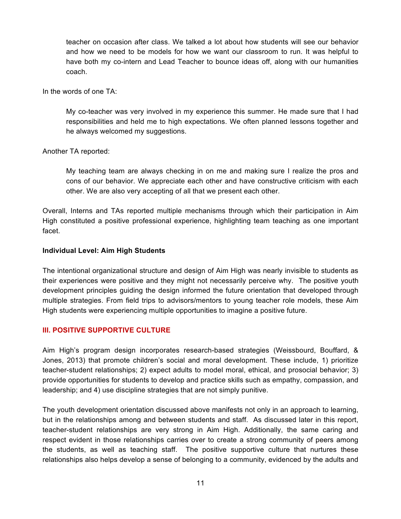teacher on occasion after class. We talked a lot about how students will see our behavior and how we need to be models for how we want our classroom to run. It was helpful to have both my co-intern and Lead Teacher to bounce ideas off, along with our humanities coach.

In the words of one TA:

My co-teacher was very involved in my experience this summer. He made sure that I had responsibilities and held me to high expectations. We often planned lessons together and he always welcomed my suggestions.

Another TA reported:

My teaching team are always checking in on me and making sure I realize the pros and cons of our behavior. We appreciate each other and have constructive criticism with each other. We are also very accepting of all that we present each other.

Overall, Interns and TAs reported multiple mechanisms through which their participation in Aim High constituted a positive professional experience, highlighting team teaching as one important facet.

#### **Individual Level: Aim High Students**

The intentional organizational structure and design of Aim High was nearly invisible to students as their experiences were positive and they might not necessarily perceive why. The positive youth development principles guiding the design informed the future orientation that developed through multiple strategies. From field trips to advisors/mentors to young teacher role models, these Aim High students were experiencing multiple opportunities to imagine a positive future.

## **III. POSITIVE SUPPORTIVE CULTURE**

Aim High's program design incorporates research-based strategies (Weissbourd, Bouffard, & Jones, 2013) that promote children's social and moral development. These include, 1) prioritize teacher-student relationships; 2) expect adults to model moral, ethical, and prosocial behavior; 3) provide opportunities for students to develop and practice skills such as empathy, compassion, and leadership; and 4) use discipline strategies that are not simply punitive.

The youth development orientation discussed above manifests not only in an approach to learning, but in the relationships among and between students and staff. As discussed later in this report, teacher-student relationships are very strong in Aim High. Additionally, the same caring and respect evident in those relationships carries over to create a strong community of peers among the students, as well as teaching staff. The positive supportive culture that nurtures these relationships also helps develop a sense of belonging to a community, evidenced by the adults and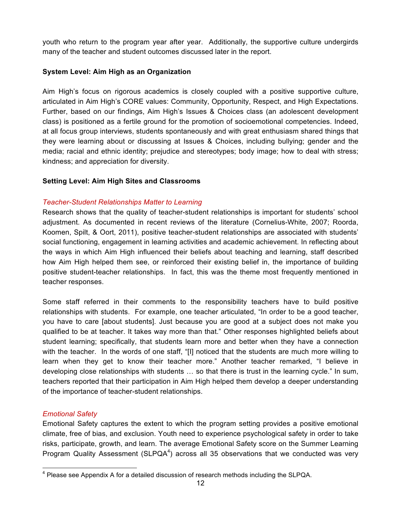youth who return to the program year after year. Additionally, the supportive culture undergirds many of the teacher and student outcomes discussed later in the report.

## **System Level: Aim High as an Organization**

Aim High's focus on rigorous academics is closely coupled with a positive supportive culture, articulated in Aim High's CORE values: Community, Opportunity, Respect, and High Expectations. Further, based on our findings, Aim High's Issues & Choices class (an adolescent development class) is positioned as a fertile ground for the promotion of socioemotional competencies. Indeed, at all focus group interviews, students spontaneously and with great enthusiasm shared things that they were learning about or discussing at Issues & Choices, including bullying; gender and the media; racial and ethnic identity; prejudice and stereotypes; body image; how to deal with stress; kindness; and appreciation for diversity.

## **Setting Level: Aim High Sites and Classrooms**

## *Teacher-Student Relationships Matter to Learning*

Research shows that the quality of teacher-student relationships is important for students' school adjustment. As documented in recent reviews of the literature (Cornelius-White, 2007; Roorda, Koomen, Spilt, & Oort, 2011), positive teacher-student relationships are associated with students' social functioning, engagement in learning activities and academic achievement. In reflecting about the ways in which Aim High influenced their beliefs about teaching and learning, staff described how Aim High helped them see, or reinforced their existing belief in, the importance of building positive student-teacher relationships. In fact, this was the theme most frequently mentioned in teacher responses.

Some staff referred in their comments to the responsibility teachers have to build positive relationships with students. For example, one teacher articulated, "In order to be a good teacher, you have to care [about students]. Just because you are good at a subject does not make you qualified to be at teacher. It takes way more than that." Other responses highlighted beliefs about student learning; specifically, that students learn more and better when they have a connection with the teacher. In the words of one staff, "[I] noticed that the students are much more willing to learn when they get to know their teacher more." Another teacher remarked, "I believe in developing close relationships with students … so that there is trust in the learning cycle." In sum, teachers reported that their participation in Aim High helped them develop a deeper understanding of the importance of teacher-student relationships.

## *Emotional Safety*

Emotional Safety captures the extent to which the program setting provides a positive emotional climate, free of bias, and exclusion. Youth need to experience psychological safety in order to take risks, participate, growth, and learn. The average Emotional Safety score on the Summer Learning Program Quality Assessment (SLPQA $4$ ) across all 35 observations that we conducted was very

 $4$  Please see Appendix A for a detailed discussion of research methods including the SLPQA.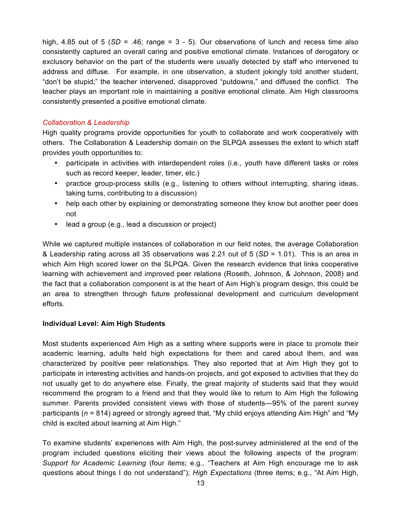high, 4.85 out of 5 (*SD* = .46; range = 3 - 5). Our observations of lunch and recess time also consistently captured an overall caring and positive emotional climate. Instances of derogatory or exclusory behavior on the part of the students were usually detected by staff who intervened to address and diffuse. For example, in one observation, a student jokingly told another student, "don't be stupid;" the teacher intervened, disapproved "putdowns," and diffused the conflict. The teacher plays an important role in maintaining a positive emotional climate. Aim High classrooms consistently presented a positive emotional climate.

#### *Collaboration & Leadership*

High quality programs provide opportunities for youth to collaborate and work cooperatively with others. The Collaboration & Leadership domain on the SLPQA assesses the extent to which staff provides youth opportunities to:

- participate in activities with interdependent roles (i.e., youth have different tasks or roles such as record keeper, leader, timer, etc.)
- practice group-process skills (e.g., listening to others without interrupting, sharing ideas, taking turns, contributing to a discussion)
- help each other by explaining or demonstrating someone they know but another peer does not
- lead a group (e.g., lead a discussion or project)

While we captured multiple instances of collaboration in our field notes, the average Collaboration & Leadership rating across all 35 observations was 2.21 out of 5 (*SD* = 1.01). This is an area in which Aim High scored lower on the SLPQA. Given the research evidence that links cooperative learning with achievement and improved peer relations (Roseth, Johnson, & Johnson, 2008) and the fact that a collaboration component is at the heart of Aim High's program design, this could be an area to strengthen through future professional development and curriculum development efforts.

## **Individual Level: Aim High Students**

Most students experienced Aim High as a setting where supports were in place to promote their academic learning, adults held high expectations for them and cared about them, and was characterized by positive peer relationships. They also reported that at Aim High they got to participate in interesting activities and hands-on projects, and got exposed to activities that they do not usually get to do anywhere else. Finally, the great majority of students said that they would recommend the program to a friend and that they would like to return to Aim High the following summer. Parents provided consistent views with those of students—95% of the parent survey participants (*n* = 814) agreed or strongly agreed that, "My child enjoys attending Aim High" and "My child is excited about learning at Aim High."

To examine students' experiences with Aim High, the post-survey administered at the end of the program included questions eliciting their views about the following aspects of the program: *Support for Academic Learning* (four items; e.g., "Teachers at Aim High encourage me to ask questions about things I do not understand"); *High Expectations* (three items; e.g., "At Aim High,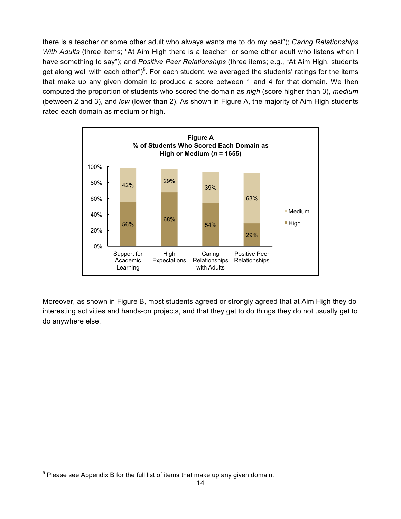there is a teacher or some other adult who always wants me to do my best"); *Caring Relationships With Adults* (three items; "At Aim High there is a teacher or some other adult who listens when I have something to say"); and *Positive Peer Relationships* (three items; e.g., "At Aim High, students get along well with each other")<sup>5</sup>. For each student, we averaged the students' ratings for the items that make up any given domain to produce a score between 1 and 4 for that domain. We then computed the proportion of students who scored the domain as *high* (score higher than 3), *medium* (between 2 and 3), and *low* (lower than 2). As shown in Figure A, the majority of Aim High students rated each domain as medium or high.



Moreover, as shown in Figure B, most students agreed or strongly agreed that at Aim High they do interesting activities and hands-on projects, and that they get to do things they do not usually get to do anywhere else.

 $<sup>5</sup>$  Please see Appendix B for the full list of items that make up any given domain.</sup>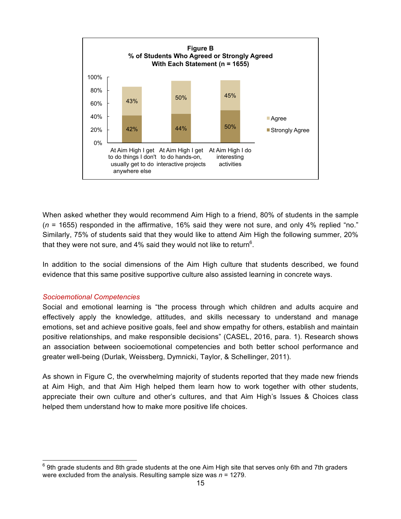

When asked whether they would recommend Aim High to a friend, 80% of students in the sample (*n* = 1655) responded in the affirmative, 16% said they were not sure, and only 4% replied "no." Similarly, 75% of students said that they would like to attend Aim High the following summer, 20% that they were not sure, and 4% said they would not like to return<sup>6</sup>.

In addition to the social dimensions of the Aim High culture that students described, we found evidence that this same positive supportive culture also assisted learning in concrete ways.

## *Socioemotional Competencies*

Social and emotional learning is "the process through which children and adults acquire and effectively apply the knowledge, attitudes, and skills necessary to understand and manage emotions, set and achieve positive goals, feel and show empathy for others, establish and maintain positive relationships, and make responsible decisions" (CASEL, 2016, para. 1). Research shows an association between socioemotional competencies and both better school performance and greater well-being (Durlak, Weissberg, Dymnicki, Taylor, & Schellinger, 2011).

As shown in Figure C, the overwhelming majority of students reported that they made new friends at Aim High, and that Aim High helped them learn how to work together with other students, appreciate their own culture and other's cultures, and that Aim High's Issues & Choices class helped them understand how to make more positive life choices.

 $^6$  9th grade students and 8th grade students at the one Aim High site that serves only 6th and 7th graders were excluded from the analysis. Resulting sample size was *n* = 1279.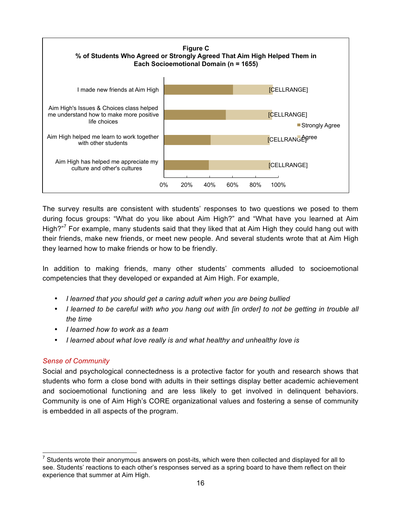

The survey results are consistent with students' responses to two questions we posed to them during focus groups: "What do you like about Aim High?" and "What have you learned at Aim High? $n^7$  For example, many students said that they liked that at Aim High they could hang out with their friends, make new friends, or meet new people. And several students wrote that at Aim High they learned how to make friends or how to be friendly.

In addition to making friends, many other students' comments alluded to socioemotional competencies that they developed or expanded at Aim High. For example,

- *I learned that you should get a caring adult when you are being bullied*
- *I learned to be careful with who you hang out with [in order] to not be getting in trouble all the time*
- *I learned how to work as a team*
- *I learned about what love really is and what healthy and unhealthy love is*

## *Sense of Community*

Social and psychological connectedness is a protective factor for youth and research shows that students who form a close bond with adults in their settings display better academic achievement and socioemotional functioning and are less likely to get involved in delinquent behaviors. Community is one of Aim High's CORE organizational values and fostering a sense of community is embedded in all aspects of the program.

 $<sup>7</sup>$  Students wrote their anonymous answers on post-its, which were then collected and displayed for all to</sup> see. Students' reactions to each other's responses served as a spring board to have them reflect on their experience that summer at Aim High.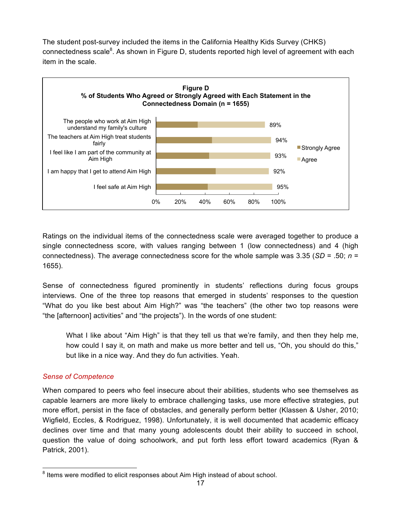The student post-survey included the items in the California Healthy Kids Survey (CHKS) connectedness scale ${}^{8}$ . As shown in Figure D, students reported high level of agreement with each item in the scale.



Ratings on the individual items of the connectedness scale were averaged together to produce a single connectedness score, with values ranging between 1 (low connectedness) and 4 (high connectedness). The average connectedness score for the whole sample was 3.35 (*SD* = .50; *n* = 1655).

Sense of connectedness figured prominently in students' reflections during focus groups interviews. One of the three top reasons that emerged in students' responses to the question "What do you like best about Aim High?" was "the teachers" (the other two top reasons were "the [afternoon] activities" and "the projects"). In the words of one student:

What I like about "Aim High" is that they tell us that we're family, and then they help me, how could I say it, on math and make us more better and tell us, "Oh, you should do this," but like in a nice way. And they do fun activities. Yeah.

## *Sense of Competence*

When compared to peers who feel insecure about their abilities, students who see themselves as capable learners are more likely to embrace challenging tasks, use more effective strategies, put more effort, persist in the face of obstacles, and generally perform better (Klassen & Usher, 2010; Wigfield, Eccles, & Rodriguez, 1998). Unfortunately, it is well documented that academic efficacy declines over time and that many young adolescents doubt their ability to succeed in school, question the value of doing schoolwork, and put forth less effort toward academics (Ryan & Patrick, 2001).

<sup>&</sup>lt;sup>8</sup> Items were modified to elicit responses about Aim High instead of about school.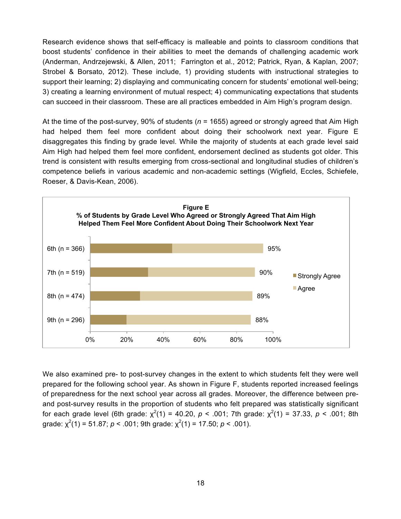Research evidence shows that self-efficacy is malleable and points to classroom conditions that boost students' confidence in their abilities to meet the demands of challenging academic work (Anderman, Andrzejewski, & Allen, 2011; Farrington et al., 2012; Patrick, Ryan, & Kaplan, 2007; Strobel & Borsato, 2012). These include, 1) providing students with instructional strategies to support their learning; 2) displaying and communicating concern for students' emotional well-being; 3) creating a learning environment of mutual respect; 4) communicating expectations that students can succeed in their classroom. These are all practices embedded in Aim High's program design.

At the time of the post-survey, 90% of students (*n* = 1655) agreed or strongly agreed that Aim High had helped them feel more confident about doing their schoolwork next year. Figure E disaggregates this finding by grade level. While the majority of students at each grade level said Aim High had helped them feel more confident, endorsement declined as students got older. This trend is consistent with results emerging from cross-sectional and longitudinal studies of children's competence beliefs in various academic and non-academic settings (Wigfield, Eccles, Schiefele, Roeser, & Davis-Kean, 2006).



We also examined pre- to post-survey changes in the extent to which students felt they were well prepared for the following school year. As shown in Figure F, students reported increased feelings of preparedness for the next school year across all grades. Moreover, the difference between preand post-survey results in the proportion of students who felt prepared was statistically significant for each grade level (6th grade:  $\chi^2(1)$  = 40.20, *p* < .001; 7th grade:  $\chi^2(1)$  = 37.33, *p* < .001; 8th grade:  $\chi^2(1)$  = 51.87; *p* < .001; 9th grade:  $\chi^2(1)$  = 17.50; *p* < .001).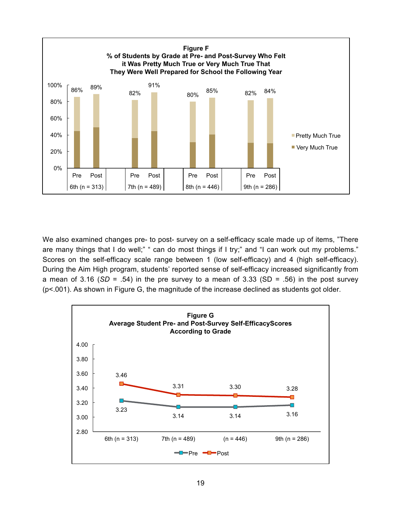

We also examined changes pre- to post- survey on a self-efficacy scale made up of items, "There are many things that I do well;" " can do most things if I try;" and "I can work out my problems." Scores on the self-efficacy scale range between 1 (low self-efficacy) and 4 (high self-efficacy). During the Aim High program, students' reported sense of self-efficacy increased significantly from a mean of  $3.16$  (*SD* = .54) in the pre survey to a mean of  $3.33$  (*SD* = .56) in the post survey (p<.001). As shown in Figure G, the magnitude of the increase declined as students got older.

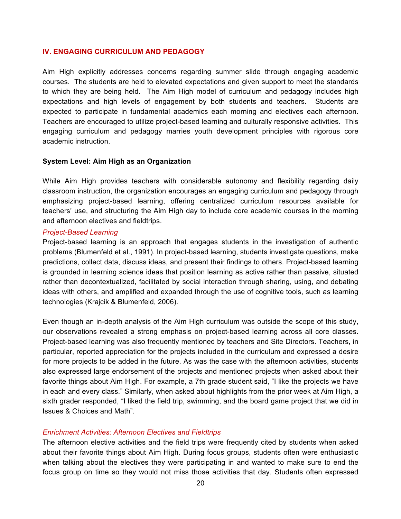#### **IV. ENGAGING CURRICULUM AND PEDAGOGY**

Aim High explicitly addresses concerns regarding summer slide through engaging academic courses. The students are held to elevated expectations and given support to meet the standards to which they are being held. The Aim High model of curriculum and pedagogy includes high expectations and high levels of engagement by both students and teachers. Students are expected to participate in fundamental academics each morning and electives each afternoon. Teachers are encouraged to utilize project-based learning and culturally responsive activities. This engaging curriculum and pedagogy marries youth development principles with rigorous core academic instruction.

#### **System Level: Aim High as an Organization**

While Aim High provides teachers with considerable autonomy and flexibility regarding daily classroom instruction, the organization encourages an engaging curriculum and pedagogy through emphasizing project-based learning, offering centralized curriculum resources available for teachers' use, and structuring the Aim High day to include core academic courses in the morning and afternoon electives and fieldtrips.

#### *Project-Based Learning*

Project-based learning is an approach that engages students in the investigation of authentic problems (Blumenfeld et al., 1991). In project-based learning, students investigate questions, make predictions, collect data, discuss ideas, and present their findings to others. Project-based learning is grounded in learning science ideas that position learning as active rather than passive, situated rather than decontextualized, facilitated by social interaction through sharing, using, and debating ideas with others, and amplified and expanded through the use of cognitive tools, such as learning technologies (Krajcik & Blumenfeld, 2006).

Even though an in-depth analysis of the Aim High curriculum was outside the scope of this study, our observations revealed a strong emphasis on project-based learning across all core classes. Project-based learning was also frequently mentioned by teachers and Site Directors. Teachers, in particular, reported appreciation for the projects included in the curriculum and expressed a desire for more projects to be added in the future. As was the case with the afternoon activities, students also expressed large endorsement of the projects and mentioned projects when asked about their favorite things about Aim High. For example, a 7th grade student said, "I like the projects we have in each and every class." Similarly, when asked about highlights from the prior week at Aim High, a sixth grader responded, "I liked the field trip, swimming, and the board game project that we did in Issues & Choices and Math".

## *Enrichment Activities: Afternoon Electives and Fieldtrips*

The afternoon elective activities and the field trips were frequently cited by students when asked about their favorite things about Aim High. During focus groups, students often were enthusiastic when talking about the electives they were participating in and wanted to make sure to end the focus group on time so they would not miss those activities that day. Students often expressed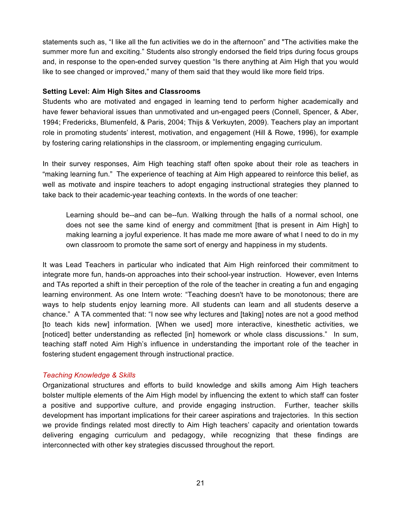statements such as, "I like all the fun activities we do in the afternoon" and "The activities make the summer more fun and exciting." Students also strongly endorsed the field trips during focus groups and, in response to the open-ended survey question "Is there anything at Aim High that you would like to see changed or improved," many of them said that they would like more field trips.

## **Setting Level: Aim High Sites and Classrooms**

Students who are motivated and engaged in learning tend to perform higher academically and have fewer behavioral issues than unmotivated and un-engaged peers (Connell, Spencer, & Aber, 1994; Fredericks, Blumenfeld, & Paris, 2004; Thijs & Verkuyten, 2009). Teachers play an important role in promoting students' interest, motivation, and engagement (Hill & Rowe, 1996), for example by fostering caring relationships in the classroom, or implementing engaging curriculum.

In their survey responses, Aim High teaching staff often spoke about their role as teachers in "making learning fun." The experience of teaching at Aim High appeared to reinforce this belief, as well as motivate and inspire teachers to adopt engaging instructional strategies they planned to take back to their academic-year teaching contexts. In the words of one teacher:

Learning should be--and can be--fun. Walking through the halls of a normal school, one does not see the same kind of energy and commitment [that is present in Aim High] to making learning a joyful experience. It has made me more aware of what I need to do in my own classroom to promote the same sort of energy and happiness in my students.

It was Lead Teachers in particular who indicated that Aim High reinforced their commitment to integrate more fun, hands-on approaches into their school-year instruction. However, even Interns and TAs reported a shift in their perception of the role of the teacher in creating a fun and engaging learning environment. As one Intern wrote: "Teaching doesn't have to be monotonous; there are ways to help students enjoy learning more. All students can learn and all students deserve a chance." A TA commented that: "I now see why lectures and [taking] notes are not a good method [to teach kids new] information. [When we used] more interactive, kinesthetic activities, we [noticed] better understanding as reflected [in] homework or whole class discussions." In sum, teaching staff noted Aim High's influence in understanding the important role of the teacher in fostering student engagement through instructional practice.

## *Teaching Knowledge & Skills*

Organizational structures and efforts to build knowledge and skills among Aim High teachers bolster multiple elements of the Aim High model by influencing the extent to which staff can foster a positive and supportive culture, and provide engaging instruction. Further, teacher skills development has important implications for their career aspirations and trajectories. In this section we provide findings related most directly to Aim High teachers' capacity and orientation towards delivering engaging curriculum and pedagogy, while recognizing that these findings are interconnected with other key strategies discussed throughout the report.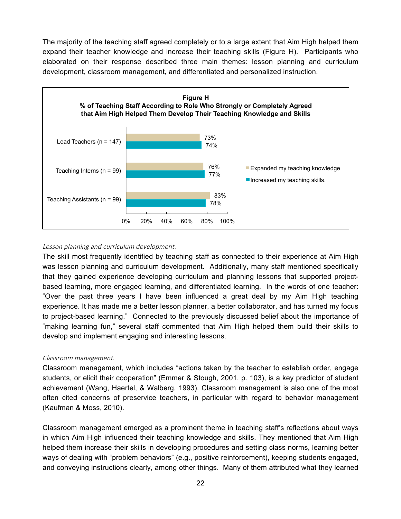The majority of the teaching staff agreed completely or to a large extent that Aim High helped them expand their teacher knowledge and increase their teaching skills (Figure H). Participants who elaborated on their response described three main themes: lesson planning and curriculum development, classroom management, and differentiated and personalized instruction.



## Lesson planning and curriculum development.

The skill most frequently identified by teaching staff as connected to their experience at Aim High was lesson planning and curriculum development. Additionally, many staff mentioned specifically that they gained experience developing curriculum and planning lessons that supported projectbased learning, more engaged learning, and differentiated learning. In the words of one teacher: "Over the past three years I have been influenced a great deal by my Aim High teaching experience. It has made me a better lesson planner, a better collaborator, and has turned my focus to project-based learning." Connected to the previously discussed belief about the importance of "making learning fun," several staff commented that Aim High helped them build their skills to develop and implement engaging and interesting lessons.

#### Classroom management.

Classroom management, which includes "actions taken by the teacher to establish order, engage students, or elicit their cooperation" (Emmer & Stough, 2001, p. 103), is a key predictor of student achievement (Wang, Haertel, & Walberg, 1993). Classroom management is also one of the most often cited concerns of preservice teachers, in particular with regard to behavior management (Kaufman & Moss, 2010).

Classroom management emerged as a prominent theme in teaching staff's reflections about ways in which Aim High influenced their teaching knowledge and skills. They mentioned that Aim High helped them increase their skills in developing procedures and setting class norms, learning better ways of dealing with "problem behaviors" (e.g., positive reinforcement), keeping students engaged, and conveying instructions clearly, among other things. Many of them attributed what they learned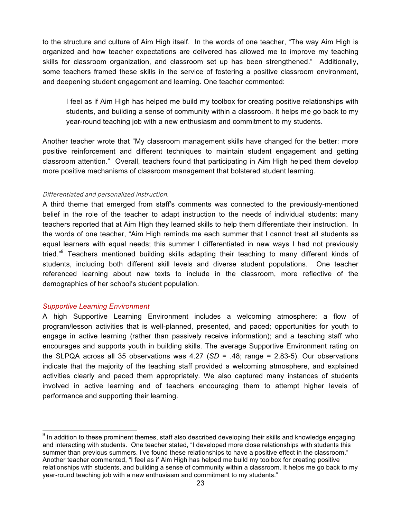to the structure and culture of Aim High itself. In the words of one teacher, "The way Aim High is organized and how teacher expectations are delivered has allowed me to improve my teaching skills for classroom organization, and classroom set up has been strengthened." Additionally, some teachers framed these skills in the service of fostering a positive classroom environment, and deepening student engagement and learning. One teacher commented:

I feel as if Aim High has helped me build my toolbox for creating positive relationships with students, and building a sense of community within a classroom. It helps me go back to my year-round teaching job with a new enthusiasm and commitment to my students.

Another teacher wrote that "My classroom management skills have changed for the better: more positive reinforcement and different techniques to maintain student engagement and getting classroom attention." Overall, teachers found that participating in Aim High helped them develop more positive mechanisms of classroom management that bolstered student learning.

#### Differentiated and personalized instruction.

A third theme that emerged from staff's comments was connected to the previously-mentioned belief in the role of the teacher to adapt instruction to the needs of individual students: many teachers reported that at Aim High they learned skills to help them differentiate their instruction. In the words of one teacher, "Aim High reminds me each summer that I cannot treat all students as equal learners with equal needs; this summer I differentiated in new ways I had not previously tried."<sup>9</sup> Teachers mentioned building skills adapting their teaching to many different kinds of students, including both different skill levels and diverse student populations. One teacher referenced learning about new texts to include in the classroom, more reflective of the demographics of her school's student population.

## *Supportive Learning Environment*

A high Supportive Learning Environment includes a welcoming atmosphere; a flow of program/lesson activities that is well-planned, presented, and paced; opportunities for youth to engage in active learning (rather than passively receive information); and a teaching staff who encourages and supports youth in building skills. The average Supportive Environment rating on the SLPQA across all 35 observations was 4.27 (*SD* = .48; range = 2.83-5). Our observations indicate that the majority of the teaching staff provided a welcoming atmosphere, and explained activities clearly and paced them appropriately. We also captured many instances of students involved in active learning and of teachers encouraging them to attempt higher levels of performance and supporting their learning.

 $9$  In addition to these prominent themes, staff also described developing their skills and knowledge engaging and interacting with students. One teacher stated, "I developed more close relationships with students this summer than previous summers. I've found these relationships to have a positive effect in the classroom." Another teacher commented, "I feel as if Aim High has helped me build my toolbox for creating positive relationships with students, and building a sense of community within a classroom. It helps me go back to my year-round teaching job with a new enthusiasm and commitment to my students."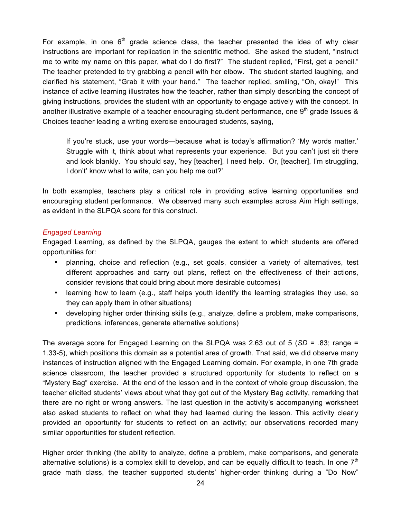For example, in one  $6<sup>th</sup>$  grade science class, the teacher presented the idea of why clear instructions are important for replication in the scientific method. She asked the student, "instruct me to write my name on this paper, what do I do first?" The student replied, "First, get a pencil." The teacher pretended to try grabbing a pencil with her elbow. The student started laughing, and clarified his statement, "Grab it with your hand." The teacher replied, smiling, "Oh, okay!" This instance of active learning illustrates how the teacher, rather than simply describing the concept of giving instructions, provides the student with an opportunity to engage actively with the concept. In another illustrative example of a teacher encouraging student performance, one 9<sup>th</sup> grade Issues & Choices teacher leading a writing exercise encouraged students, saying,

If you're stuck, use your words—because what is today's affirmation? 'My words matter.' Struggle with it, think about what represents your experience. But you can't just sit there and look blankly. You should say, 'hey [teacher], I need help. Or, [teacher], I'm struggling, I don't' know what to write, can you help me out?'

In both examples, teachers play a critical role in providing active learning opportunities and encouraging student performance. We observed many such examples across Aim High settings, as evident in the SLPQA score for this construct.

## *Engaged Learning*

Engaged Learning, as defined by the SLPQA, gauges the extent to which students are offered opportunities for:

- planning, choice and reflection (e.g., set goals, consider a variety of alternatives, test different approaches and carry out plans, reflect on the effectiveness of their actions, consider revisions that could bring about more desirable outcomes)
- learning how to learn (e.g., staff helps youth identify the learning strategies they use, so they can apply them in other situations)
- developing higher order thinking skills (e.g., analyze, define a problem, make comparisons, predictions, inferences, generate alternative solutions)

The average score for Engaged Learning on the SLPQA was 2.63 out of 5 (*SD* = .83; range = 1.33-5), which positions this domain as a potential area of growth. That said, we did observe many instances of instruction aligned with the Engaged Learning domain. For example, in one 7th grade science classroom, the teacher provided a structured opportunity for students to reflect on a "Mystery Bag" exercise. At the end of the lesson and in the context of whole group discussion, the teacher elicited students' views about what they got out of the Mystery Bag activity, remarking that there are no right or wrong answers. The last question in the activity's accompanying worksheet also asked students to reflect on what they had learned during the lesson. This activity clearly provided an opportunity for students to reflect on an activity; our observations recorded many similar opportunities for student reflection.

Higher order thinking (the ability to analyze, define a problem, make comparisons, and generate alternative solutions) is a complex skill to develop, and can be equally difficult to teach. In one  $7<sup>th</sup>$ grade math class, the teacher supported students' higher-order thinking during a "Do Now"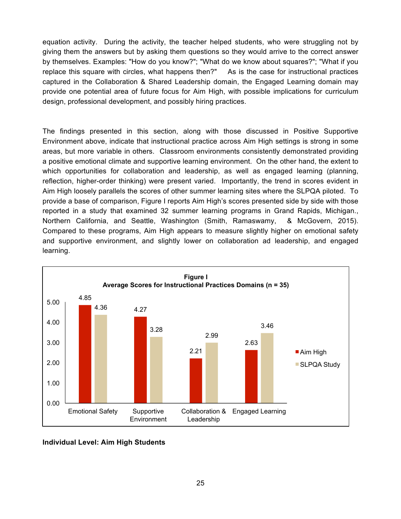equation activity. During the activity, the teacher helped students, who were struggling not by giving them the answers but by asking them questions so they would arrive to the correct answer by themselves. Examples: "How do you know?"; "What do we know about squares?"; "What if you replace this square with circles, what happens then?" As is the case for instructional practices captured in the Collaboration & Shared Leadership domain, the Engaged Learning domain may provide one potential area of future focus for Aim High, with possible implications for curriculum design, professional development, and possibly hiring practices.

The findings presented in this section, along with those discussed in Positive Supportive Environment above, indicate that instructional practice across Aim High settings is strong in some areas, but more variable in others. Classroom environments consistently demonstrated providing a positive emotional climate and supportive learning environment. On the other hand, the extent to which opportunities for collaboration and leadership, as well as engaged learning (planning, reflection, higher-order thinking) were present varied. Importantly, the trend in scores evident in Aim High loosely parallels the scores of other summer learning sites where the SLPQA piloted. To provide a base of comparison, Figure I reports Aim High's scores presented side by side with those reported in a study that examined 32 summer learning programs in Grand Rapids, Michigan., Northern California, and Seattle, Washington (Smith, Ramaswamy, & McGovern, 2015). Compared to these programs, Aim High appears to measure slightly higher on emotional safety and supportive environment, and slightly lower on collaboration ad leadership, and engaged learning.



## **Individual Level: Aim High Students**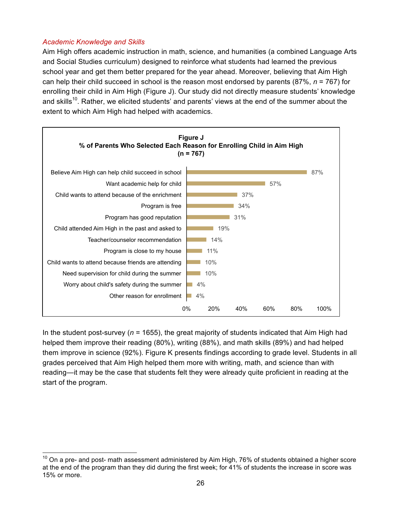## *Academic Knowledge and Skills*

Aim High offers academic instruction in math, science, and humanities (a combined Language Arts and Social Studies curriculum) designed to reinforce what students had learned the previous school year and get them better prepared for the year ahead. Moreover, believing that Aim High can help their child succeed in school is the reason most endorsed by parents (87%, *n* = 767) for enrolling their child in Aim High (Figure J). Our study did not directly measure students' knowledge and skills<sup>10</sup>. Rather, we elicited students' and parents' views at the end of the summer about the extent to which Aim High had helped with academics.



In the student post-survey ( $n = 1655$ ), the great majority of students indicated that Aim High had helped them improve their reading (80%), writing (88%), and math skills (89%) and had helped them improve in science (92%). Figure K presents findings according to grade level. Students in all grades perceived that Aim High helped them more with writing, math, and science than with reading—it may be the case that students felt they were already quite proficient in reading at the start of the program.

 $10$  On a pre- and post- math assessment administered by Aim High, 76% of students obtained a higher score at the end of the program than they did during the first week; for 41% of students the increase in score was 15% or more.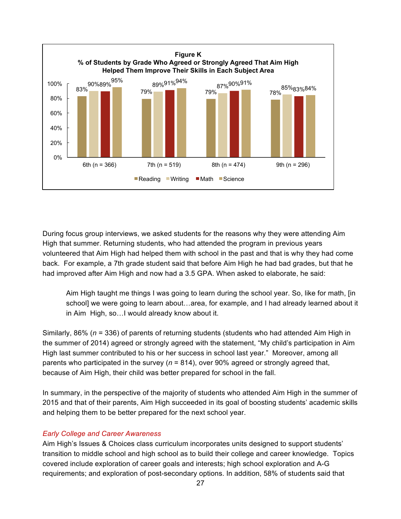

During focus group interviews, we asked students for the reasons why they were attending Aim High that summer. Returning students, who had attended the program in previous years volunteered that Aim High had helped them with school in the past and that is why they had come back. For example, a 7th grade student said that before Aim High he had bad grades, but that he had improved after Aim High and now had a 3.5 GPA. When asked to elaborate, he said:

Aim High taught me things I was going to learn during the school year. So, like for math, [in school] we were going to learn about…area, for example, and I had already learned about it in Aim High, so…I would already know about it.

Similarly, 86% (*n* = 336) of parents of returning students (students who had attended Aim High in the summer of 2014) agreed or strongly agreed with the statement, "My child's participation in Aim High last summer contributed to his or her success in school last year." Moreover, among all parents who participated in the survey (*n* = 814), over 90% agreed or strongly agreed that, because of Aim High, their child was better prepared for school in the fall.

In summary, in the perspective of the majority of students who attended Aim High in the summer of 2015 and that of their parents, Aim High succeeded in its goal of boosting students' academic skills and helping them to be better prepared for the next school year.

## *Early College and Career Awareness*

Aim High's Issues & Choices class curriculum incorporates units designed to support students' transition to middle school and high school as to build their college and career knowledge. Topics covered include exploration of career goals and interests; high school exploration and A-G requirements; and exploration of post-secondary options. In addition, 58% of students said that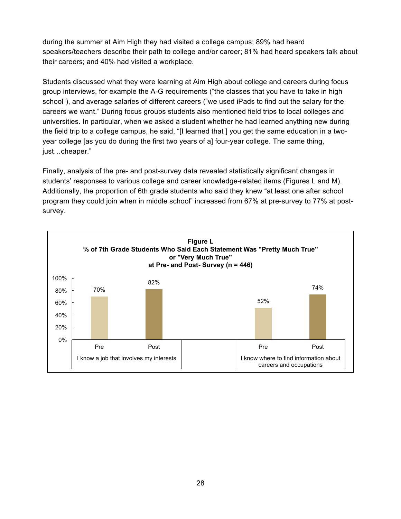during the summer at Aim High they had visited a college campus; 89% had heard speakers/teachers describe their path to college and/or career; 81% had heard speakers talk about their careers; and 40% had visited a workplace.

Students discussed what they were learning at Aim High about college and careers during focus group interviews, for example the A-G requirements ("the classes that you have to take in high school"), and average salaries of different careers ("we used iPads to find out the salary for the careers we want." During focus groups students also mentioned field trips to local colleges and universities. In particular, when we asked a student whether he had learned anything new during the field trip to a college campus, he said, "[I learned that ] you get the same education in a twoyear college [as you do during the first two years of a] four-year college. The same thing, just…cheaper."

Finally, analysis of the pre- and post-survey data revealed statistically significant changes in students' responses to various college and career knowledge-related items (Figures L and M). Additionally, the proportion of 6th grade students who said they knew "at least one after school program they could join when in middle school" increased from 67% at pre-survey to 77% at postsurvey.

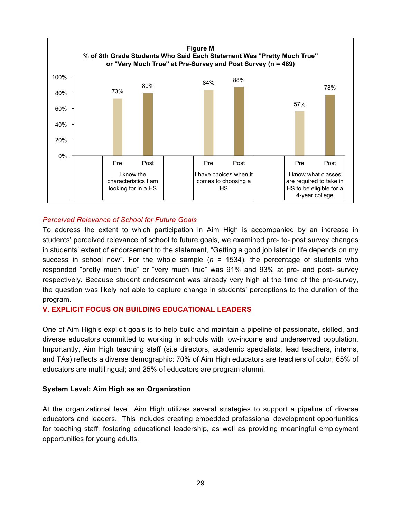

## *Perceived Relevance of School for Future Goals*

To address the extent to which participation in Aim High is accompanied by an increase in students' perceived relevance of school to future goals, we examined pre- to- post survey changes in students' extent of endorsement to the statement, "Getting a good job later in life depends on my success in school now". For the whole sample  $(n = 1534)$ , the percentage of students who responded "pretty much true" or "very much true" was 91% and 93% at pre- and post- survey respectively. Because student endorsement was already very high at the time of the pre-survey, the question was likely not able to capture change in students' perceptions to the duration of the program.

## **V. EXPLICIT FOCUS ON BUILDING EDUCATIONAL LEADERS**

One of Aim High's explicit goals is to help build and maintain a pipeline of passionate, skilled, and diverse educators committed to working in schools with low-income and underserved population. Importantly, Aim High teaching staff (site directors, academic specialists, lead teachers, interns, and TAs) reflects a diverse demographic: 70% of Aim High educators are teachers of color; 65% of educators are multilingual; and 25% of educators are program alumni.

#### **System Level: Aim High as an Organization**

At the organizational level, Aim High utilizes several strategies to support a pipeline of diverse educators and leaders. This includes creating embedded professional development opportunities for teaching staff, fostering educational leadership, as well as providing meaningful employment opportunities for young adults.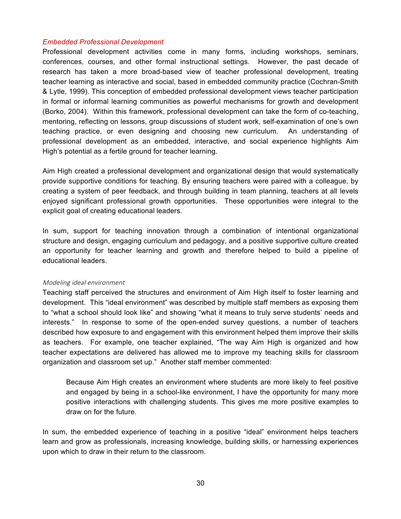#### *Embedded Professional Development*

Professional development activities come in many forms, including workshops, seminars, conferences, courses, and other formal instructional settings. However, the past decade of research has taken a more broad-based view of teacher professional development, treating teacher learning as interactive and social, based in embedded community practice (Cochran-Smith & Lytle, 1999). This conception of embedded professional development views teacher participation in formal or informal learning communities as powerful mechanisms for growth and development (Borko, 2004). Within this framework, professional development can take the form of co-teaching, mentoring, reflecting on lessons, group discussions of student work, self-examination of one's own teaching practice, or even designing and choosing new curriculum. An understanding of professional development as an embedded, interactive, and social experience highlights Aim High's potential as a fertile ground for teacher learning.

Aim High created a professional development and organizational design that would systematically provide supportive conditions for teaching. By ensuring teachers were paired with a colleague, by creating a system of peer feedback, and through building in team planning, teachers at all levels enjoyed significant professional growth opportunities. These opportunities were integral to the explicit goal of creating educational leaders.

In sum, support for teaching innovation through a combination of intentional organizational structure and design, engaging curriculum and pedagogy, and a positive supportive culture created an opportunity for teacher learning and growth and therefore helped to build a pipeline of educational leaders.

#### Modeling ideal environment

Teaching staff perceived the structures and environment of Aim High itself to foster learning and development. This "ideal environment" was described by multiple staff members as exposing them to "what a school should look like" and showing "what it means to truly serve students' needs and interests." In response to some of the open-ended survey questions, a number of teachers described how exposure to and engagement with this environment helped them improve their skills as teachers. For example, one teacher explained, "The way Aim High is organized and how teacher expectations are delivered has allowed me to improve my teaching skills for classroom organization and classroom set up." Another staff member commented:

Because Aim High creates an environment where students are more likely to feel positive and engaged by being in a school-like environment, I have the opportunity for many more positive interactions with challenging students. This gives me more positive examples to draw on for the future.

In sum, the embedded experience of teaching in a positive "ideal" environment helps teachers learn and grow as professionals, increasing knowledge, building skills, or harnessing experiences upon which to draw in their return to the classroom.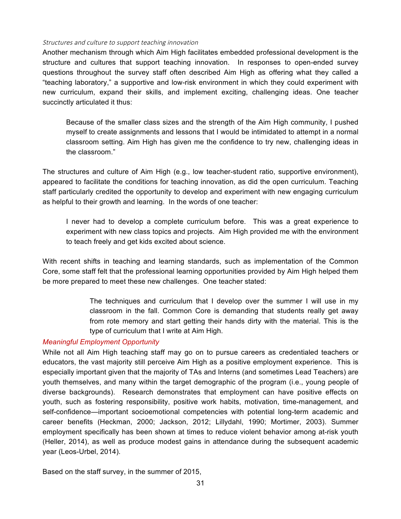#### Structures and culture to support teaching innovation

Another mechanism through which Aim High facilitates embedded professional development is the structure and cultures that support teaching innovation. In responses to open-ended survey questions throughout the survey staff often described Aim High as offering what they called a "teaching laboratory," a supportive and low-risk environment in which they could experiment with new curriculum, expand their skills, and implement exciting, challenging ideas. One teacher succinctly articulated it thus:

Because of the smaller class sizes and the strength of the Aim High community, I pushed myself to create assignments and lessons that I would be intimidated to attempt in a normal classroom setting. Aim High has given me the confidence to try new, challenging ideas in the classroom."

The structures and culture of Aim High (e.g., low teacher-student ratio, supportive environment), appeared to facilitate the conditions for teaching innovation, as did the open curriculum. Teaching staff particularly credited the opportunity to develop and experiment with new engaging curriculum as helpful to their growth and learning. In the words of one teacher:

I never had to develop a complete curriculum before. This was a great experience to experiment with new class topics and projects. Aim High provided me with the environment to teach freely and get kids excited about science.

With recent shifts in teaching and learning standards, such as implementation of the Common Core, some staff felt that the professional learning opportunities provided by Aim High helped them be more prepared to meet these new challenges. One teacher stated:

> The techniques and curriculum that I develop over the summer I will use in my classroom in the fall. Common Core is demanding that students really get away from rote memory and start getting their hands dirty with the material. This is the type of curriculum that I write at Aim High.

## *Meaningful Employment Opportunity*

While not all Aim High teaching staff may go on to pursue careers as credentialed teachers or educators, the vast majority still perceive Aim High as a positive employment experience. This is especially important given that the majority of TAs and Interns (and sometimes Lead Teachers) are youth themselves, and many within the target demographic of the program (i.e., young people of diverse backgrounds). Research demonstrates that employment can have positive effects on youth, such as fostering responsibility, positive work habits, motivation, time-management, and self-confidence—important socioemotional competencies with potential long-term academic and career benefits (Heckman, 2000; Jackson, 2012; Lillydahl, 1990; Mortimer, 2003). Summer employment specifically has been shown at times to reduce violent behavior among at-risk youth (Heller, 2014), as well as produce modest gains in attendance during the subsequent academic year (Leos-Urbel, 2014).

Based on the staff survey, in the summer of 2015,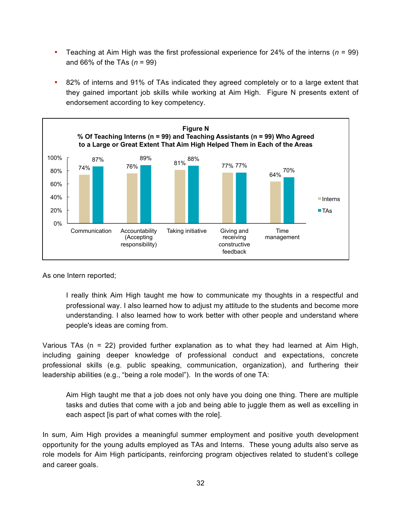- Teaching at Aim High was the first professional experience for 24% of the interns (*n* = 99) and 66% of the TAs (*n* = 99)
- 82% of interns and 91% of TAs indicated they agreed completely or to a large extent that they gained important job skills while working at Aim High. Figure N presents extent of endorsement according to key competency.



As one Intern reported;

I really think Aim High taught me how to communicate my thoughts in a respectful and professional way. I also learned how to adjust my attitude to the students and become more understanding. I also learned how to work better with other people and understand where people's ideas are coming from.

Various TAs (n = 22) provided further explanation as to what they had learned at Aim High, including gaining deeper knowledge of professional conduct and expectations, concrete professional skills (e.g. public speaking, communication, organization), and furthering their leadership abilities (e.g., "being a role model"). In the words of one TA:

Aim High taught me that a job does not only have you doing one thing. There are multiple tasks and duties that come with a job and being able to juggle them as well as excelling in each aspect [is part of what comes with the role].

In sum, Aim High provides a meaningful summer employment and positive youth development opportunity for the young adults employed as TAs and Interns. These young adults also serve as role models for Aim High participants, reinforcing program objectives related to student's college and career goals.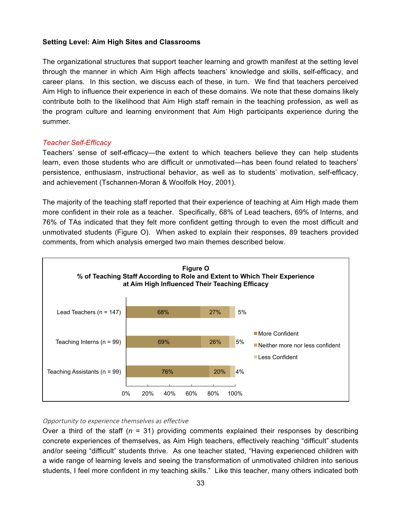## **Setting Level: Aim High Sites and Classrooms**

The organizational structures that support teacher learning and growth manifest at the setting level through the manner in which Aim High affects teachers' knowledge and skills, self-efficacy, and career plans. In this section, we discuss each of these, in turn. We find that teachers perceived Aim High to influence their experience in each of these domains. We note that these domains likely contribute both to the likelihood that Aim High staff remain in the teaching profession, as well as the program culture and learning environment that Aim High participants experience during the summer.

#### *Teacher Self-Efficacy*

Teachers' sense of self-efficacy—the extent to which teachers believe they can help students learn, even those students who are difficult or unmotivated—has been found related to teachers' persistence, enthusiasm, instructional behavior, as well as to students' motivation, self-efficacy, and achievement (Tschannen-Moran & Woolfolk Hoy, 2001).

The majority of the teaching staff reported that their experience of teaching at Aim High made them more confident in their role as a teacher. Specifically, 68% of Lead teachers, 69% of Interns, and 76% of TAs indicated that they felt more confident getting through to even the most difficult and unmotivated students (Figure O). When asked to explain their responses, 89 teachers provided comments, from which analysis emerged two main themes described below.



#### Opportunity to experience themselves as effective

Over a third of the staff (*n* = 31) providing comments explained their responses by describing concrete experiences of themselves, as Aim High teachers, effectively reaching "difficult" students and/or seeing "difficult" students thrive. As one teacher stated, "Having experienced children with a wide range of learning levels and seeing the transformation of unmotivated children into serious students, I feel more confident in my teaching skills." Like this teacher, many others indicated both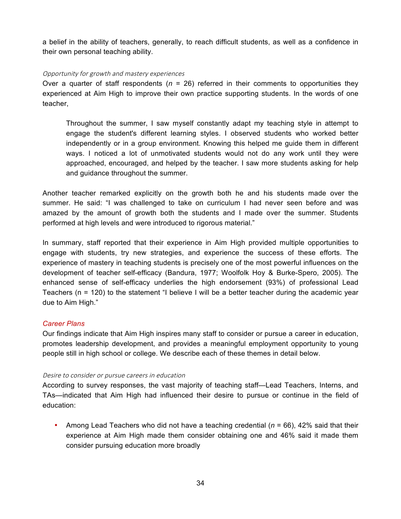a belief in the ability of teachers, generally, to reach difficult students, as well as a confidence in their own personal teaching ability.

#### Opportunity for growth and mastery experiences

Over a quarter of staff respondents ( $n = 26$ ) referred in their comments to opportunities they experienced at Aim High to improve their own practice supporting students. In the words of one teacher,

Throughout the summer, I saw myself constantly adapt my teaching style in attempt to engage the student's different learning styles. I observed students who worked better independently or in a group environment. Knowing this helped me guide them in different ways. I noticed a lot of unmotivated students would not do any work until they were approached, encouraged, and helped by the teacher. I saw more students asking for help and guidance throughout the summer.

Another teacher remarked explicitly on the growth both he and his students made over the summer. He said: "I was challenged to take on curriculum I had never seen before and was amazed by the amount of growth both the students and I made over the summer. Students performed at high levels and were introduced to rigorous material."

In summary, staff reported that their experience in Aim High provided multiple opportunities to engage with students, try new strategies, and experience the success of these efforts. The experience of mastery in teaching students is precisely one of the most powerful influences on the development of teacher self-efficacy (Bandura, 1977; Woolfolk Hoy & Burke-Spero, 2005). The enhanced sense of self-efficacy underlies the high endorsement (93%) of professional Lead Teachers (n = 120) to the statement "I believe I will be a better teacher during the academic year due to Aim High."

## *Career Plans*

Our findings indicate that Aim High inspires many staff to consider or pursue a career in education, promotes leadership development, and provides a meaningful employment opportunity to young people still in high school or college. We describe each of these themes in detail below.

## Desire to consider or pursue careers in education

According to survey responses, the vast majority of teaching staff—Lead Teachers, Interns, and TAs—indicated that Aim High had influenced their desire to pursue or continue in the field of education:

• Among Lead Teachers who did not have a teaching credential (*n* = 66), 42% said that their experience at Aim High made them consider obtaining one and 46% said it made them consider pursuing education more broadly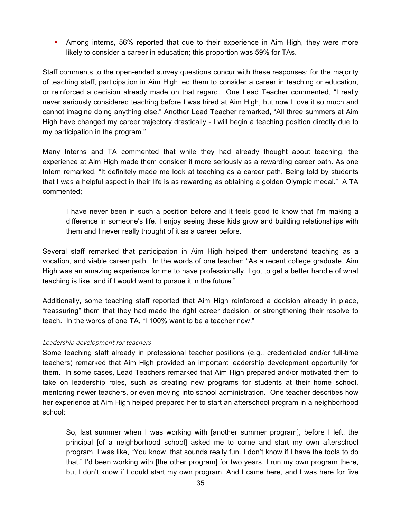• Among interns, 56% reported that due to their experience in Aim High, they were more likely to consider a career in education; this proportion was 59% for TAs.

Staff comments to the open-ended survey questions concur with these responses: for the majority of teaching staff, participation in Aim High led them to consider a career in teaching or education, or reinforced a decision already made on that regard. One Lead Teacher commented, "I really never seriously considered teaching before I was hired at Aim High, but now I love it so much and cannot imagine doing anything else." Another Lead Teacher remarked, "All three summers at Aim High have changed my career trajectory drastically - I will begin a teaching position directly due to my participation in the program."

Many Interns and TA commented that while they had already thought about teaching, the experience at Aim High made them consider it more seriously as a rewarding career path. As one Intern remarked, "It definitely made me look at teaching as a career path. Being told by students that I was a helpful aspect in their life is as rewarding as obtaining a golden Olympic medal." A TA commented;

I have never been in such a position before and it feels good to know that I'm making a difference in someone's life. I enjoy seeing these kids grow and building relationships with them and I never really thought of it as a career before.

Several staff remarked that participation in Aim High helped them understand teaching as a vocation, and viable career path. In the words of one teacher: "As a recent college graduate, Aim High was an amazing experience for me to have professionally. I got to get a better handle of what teaching is like, and if I would want to pursue it in the future."

Additionally, some teaching staff reported that Aim High reinforced a decision already in place, "reassuring" them that they had made the right career decision, or strengthening their resolve to teach. In the words of one TA, "I 100% want to be a teacher now."

#### Leadership development for teachers

Some teaching staff already in professional teacher positions (e.g., credentialed and/or full-time teachers) remarked that Aim High provided an important leadership development opportunity for them. In some cases, Lead Teachers remarked that Aim High prepared and/or motivated them to take on leadership roles, such as creating new programs for students at their home school, mentoring newer teachers, or even moving into school administration. One teacher describes how her experience at Aim High helped prepared her to start an afterschool program in a neighborhood school:

So, last summer when I was working with [another summer program], before I left, the principal [of a neighborhood school] asked me to come and start my own afterschool program. I was like, "You know, that sounds really fun. I don't know if I have the tools to do that." I'd been working with [the other program] for two years, I run my own program there, but I don't know if I could start my own program. And I came here, and I was here for five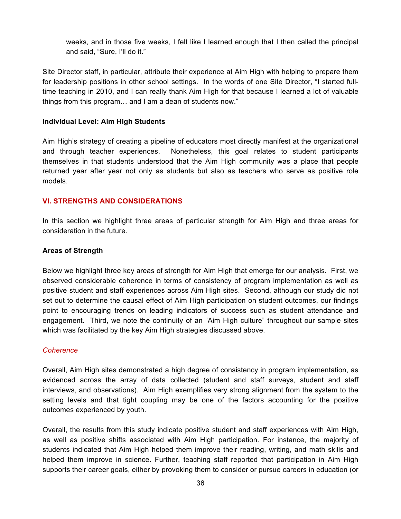weeks, and in those five weeks, I felt like I learned enough that I then called the principal and said, "Sure, I'll do it."

Site Director staff, in particular, attribute their experience at Aim High with helping to prepare them for leadership positions in other school settings. In the words of one Site Director, "I started fulltime teaching in 2010, and I can really thank Aim High for that because I learned a lot of valuable things from this program… and I am a dean of students now."

#### **Individual Level: Aim High Students**

Aim High's strategy of creating a pipeline of educators most directly manifest at the organizational and through teacher experiences. Nonetheless, this goal relates to student participants themselves in that students understood that the Aim High community was a place that people returned year after year not only as students but also as teachers who serve as positive role models.

## **VI. STRENGTHS AND CONSIDERATIONS**

In this section we highlight three areas of particular strength for Aim High and three areas for consideration in the future.

#### **Areas of Strength**

Below we highlight three key areas of strength for Aim High that emerge for our analysis. First, we observed considerable coherence in terms of consistency of program implementation as well as positive student and staff experiences across Aim High sites. Second, although our study did not set out to determine the causal effect of Aim High participation on student outcomes, our findings point to encouraging trends on leading indicators of success such as student attendance and engagement. Third, we note the continuity of an "Aim High culture" throughout our sample sites which was facilitated by the key Aim High strategies discussed above.

#### *Coherence*

Overall, Aim High sites demonstrated a high degree of consistency in program implementation, as evidenced across the array of data collected (student and staff surveys, student and staff interviews, and observations). Aim High exemplifies very strong alignment from the system to the setting levels and that tight coupling may be one of the factors accounting for the positive outcomes experienced by youth.

Overall, the results from this study indicate positive student and staff experiences with Aim High, as well as positive shifts associated with Aim High participation. For instance, the majority of students indicated that Aim High helped them improve their reading, writing, and math skills and helped them improve in science. Further, teaching staff reported that participation in Aim High supports their career goals, either by provoking them to consider or pursue careers in education (or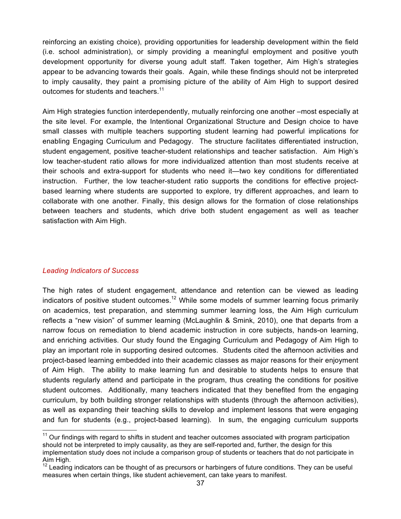reinforcing an existing choice), providing opportunities for leadership development within the field (i.e. school administration), or simply providing a meaningful employment and positive youth development opportunity for diverse young adult staff. Taken together, Aim High's strategies appear to be advancing towards their goals. Again, while these findings should not be interpreted to imply causality, they paint a promising picture of the ability of Aim High to support desired outcomes for students and teachers. $11$ 

Aim High strategies function interdependently, mutually reinforcing one another –most especially at the site level. For example, the Intentional Organizational Structure and Design choice to have small classes with multiple teachers supporting student learning had powerful implications for enabling Engaging Curriculum and Pedagogy. The structure facilitates differentiated instruction, student engagement, positive teacher-student relationships and teacher satisfaction. Aim High's low teacher-student ratio allows for more individualized attention than most students receive at their schools and extra-support for students who need it—two key conditions for differentiated instruction. Further, the low teacher-student ratio supports the conditions for effective projectbased learning where students are supported to explore, try different approaches, and learn to collaborate with one another. Finally, this design allows for the formation of close relationships between teachers and students, which drive both student engagement as well as teacher satisfaction with Aim High.

## *Leading Indicators of Success*

The high rates of student engagement, attendance and retention can be viewed as leading indicators of positive student outcomes.<sup>12</sup> While some models of summer learning focus primarily on academics, test preparation, and stemming summer learning loss, the Aim High curriculum reflects a "new vision" of summer learning (McLaughlin & Smink, 2010), one that departs from a narrow focus on remediation to blend academic instruction in core subjects, hands-on learning, and enriching activities. Our study found the Engaging Curriculum and Pedagogy of Aim High to play an important role in supporting desired outcomes. Students cited the afternoon activities and project-based learning embedded into their academic classes as major reasons for their enjoyment of Aim High. The ability to make learning fun and desirable to students helps to ensure that students regularly attend and participate in the program, thus creating the conditions for positive student outcomes. Additionally, many teachers indicated that they benefited from the engaging curriculum, by both building stronger relationships with students (through the afternoon activities), as well as expanding their teaching skills to develop and implement lessons that were engaging and fun for students (e.g., project-based learning). In sum, the engaging curriculum supports

 $11$  Our findings with regard to shifts in student and teacher outcomes associated with program participation should not be interpreted to imply causality, as they are self-reported and, further, the design for this implementation study does not include a comparison group of students or teachers that do not participate in Aim High.

Leading indicators can be thought of as precursors or harbingers of future conditions. They can be useful measures when certain things, like student achievement, can take years to manifest.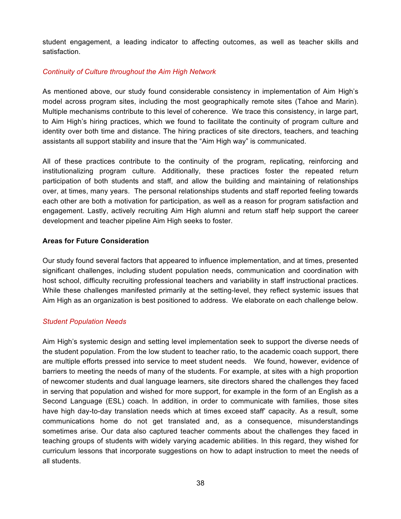student engagement, a leading indicator to affecting outcomes, as well as teacher skills and satisfaction.

## *Continuity of Culture throughout the Aim High Network*

As mentioned above, our study found considerable consistency in implementation of Aim High's model across program sites, including the most geographically remote sites (Tahoe and Marin). Multiple mechanisms contribute to this level of coherence. We trace this consistency, in large part, to Aim High's hiring practices, which we found to facilitate the continuity of program culture and identity over both time and distance. The hiring practices of site directors, teachers, and teaching assistants all support stability and insure that the "Aim High way" is communicated.

All of these practices contribute to the continuity of the program, replicating, reinforcing and institutionalizing program culture. Additionally, these practices foster the repeated return participation of both students and staff, and allow the building and maintaining of relationships over, at times, many years. The personal relationships students and staff reported feeling towards each other are both a motivation for participation, as well as a reason for program satisfaction and engagement. Lastly, actively recruiting Aim High alumni and return staff help support the career development and teacher pipeline Aim High seeks to foster.

## **Areas for Future Consideration**

Our study found several factors that appeared to influence implementation, and at times, presented significant challenges, including student population needs, communication and coordination with host school, difficulty recruiting professional teachers and variability in staff instructional practices. While these challenges manifested primarily at the setting-level, they reflect systemic issues that Aim High as an organization is best positioned to address. We elaborate on each challenge below.

## *Student Population Needs*

Aim High's systemic design and setting level implementation seek to support the diverse needs of the student population. From the low student to teacher ratio, to the academic coach support, there are multiple efforts pressed into service to meet student needs. We found, however, evidence of barriers to meeting the needs of many of the students. For example, at sites with a high proportion of newcomer students and dual language learners, site directors shared the challenges they faced in serving that population and wished for more support, for example in the form of an English as a Second Language (ESL) coach. In addition, in order to communicate with families, those sites have high day-to-day translation needs which at times exceed staff' capacity. As a result, some communications home do not get translated and, as a consequence, misunderstandings sometimes arise. Our data also captured teacher comments about the challenges they faced in teaching groups of students with widely varying academic abilities. In this regard, they wished for curriculum lessons that incorporate suggestions on how to adapt instruction to meet the needs of all students.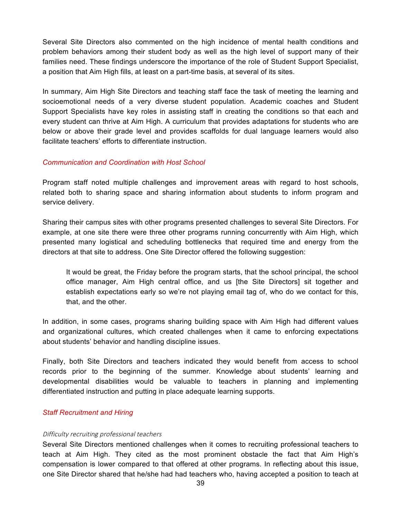Several Site Directors also commented on the high incidence of mental health conditions and problem behaviors among their student body as well as the high level of support many of their families need. These findings underscore the importance of the role of Student Support Specialist, a position that Aim High fills, at least on a part-time basis, at several of its sites.

In summary, Aim High Site Directors and teaching staff face the task of meeting the learning and socioemotional needs of a very diverse student population. Academic coaches and Student Support Specialists have key roles in assisting staff in creating the conditions so that each and every student can thrive at Aim High. A curriculum that provides adaptations for students who are below or above their grade level and provides scaffolds for dual language learners would also facilitate teachers' efforts to differentiate instruction.

#### *Communication and Coordination with Host School*

Program staff noted multiple challenges and improvement areas with regard to host schools, related both to sharing space and sharing information about students to inform program and service delivery.

Sharing their campus sites with other programs presented challenges to several Site Directors. For example, at one site there were three other programs running concurrently with Aim High, which presented many logistical and scheduling bottlenecks that required time and energy from the directors at that site to address. One Site Director offered the following suggestion:

It would be great, the Friday before the program starts, that the school principal, the school office manager, Aim High central office, and us [the Site Directors] sit together and establish expectations early so we're not playing email tag of, who do we contact for this, that, and the other.

In addition, in some cases, programs sharing building space with Aim High had different values and organizational cultures, which created challenges when it came to enforcing expectations about students' behavior and handling discipline issues.

Finally, both Site Directors and teachers indicated they would benefit from access to school records prior to the beginning of the summer. Knowledge about students' learning and developmental disabilities would be valuable to teachers in planning and implementing differentiated instruction and putting in place adequate learning supports.

## *Staff Recruitment and Hiring*

#### Difficulty recruiting professional teachers

Several Site Directors mentioned challenges when it comes to recruiting professional teachers to teach at Aim High. They cited as the most prominent obstacle the fact that Aim High's compensation is lower compared to that offered at other programs. In reflecting about this issue, one Site Director shared that he/she had had teachers who, having accepted a position to teach at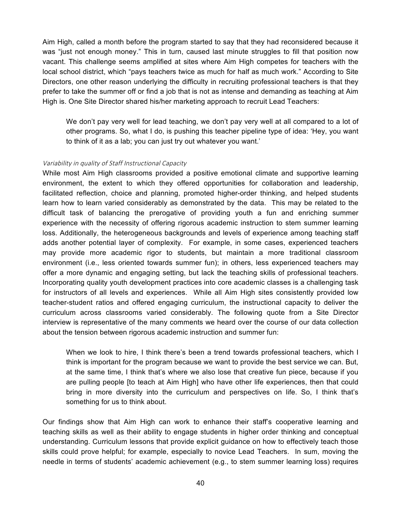Aim High, called a month before the program started to say that they had reconsidered because it was "just not enough money." This in turn, caused last minute struggles to fill that position now vacant. This challenge seems amplified at sites where Aim High competes for teachers with the local school district, which "pays teachers twice as much for half as much work." According to Site Directors, one other reason underlying the difficulty in recruiting professional teachers is that they prefer to take the summer off or find a job that is not as intense and demanding as teaching at Aim High is. One Site Director shared his/her marketing approach to recruit Lead Teachers:

We don't pay very well for lead teaching, we don't pay very well at all compared to a lot of other programs. So, what I do, is pushing this teacher pipeline type of idea: 'Hey, you want to think of it as a lab; you can just try out whatever you want.'

#### Variability in quality of Staff Instructional Capacity

While most Aim High classrooms provided a positive emotional climate and supportive learning environment, the extent to which they offered opportunities for collaboration and leadership, facilitated reflection, choice and planning, promoted higher-order thinking, and helped students learn how to learn varied considerably as demonstrated by the data. This may be related to the difficult task of balancing the prerogative of providing youth a fun and enriching summer experience with the necessity of offering rigorous academic instruction to stem summer learning loss. Additionally, the heterogeneous backgrounds and levels of experience among teaching staff adds another potential layer of complexity. For example, in some cases, experienced teachers may provide more academic rigor to students, but maintain a more traditional classroom environment (i.e., less oriented towards summer fun); in others, less experienced teachers may offer a more dynamic and engaging setting, but lack the teaching skills of professional teachers. Incorporating quality youth development practices into core academic classes is a challenging task for instructors of all levels and experiences. While all Aim High sites consistently provided low teacher-student ratios and offered engaging curriculum, the instructional capacity to deliver the curriculum across classrooms varied considerably. The following quote from a Site Director interview is representative of the many comments we heard over the course of our data collection about the tension between rigorous academic instruction and summer fun:

When we look to hire, I think there's been a trend towards professional teachers, which I think is important for the program because we want to provide the best service we can. But, at the same time, I think that's where we also lose that creative fun piece, because if you are pulling people [to teach at Aim High] who have other life experiences, then that could bring in more diversity into the curriculum and perspectives on life. So, I think that's something for us to think about.

Our findings show that Aim High can work to enhance their staff's cooperative learning and teaching skills as well as their ability to engage students in higher order thinking and conceptual understanding. Curriculum lessons that provide explicit guidance on how to effectively teach those skills could prove helpful; for example, especially to novice Lead Teachers. In sum, moving the needle in terms of students' academic achievement (e.g., to stem summer learning loss) requires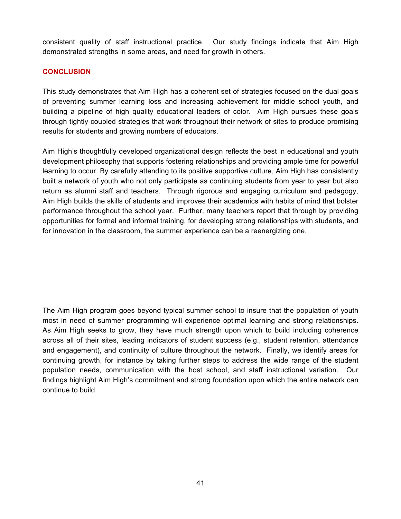consistent quality of staff instructional practice. Our study findings indicate that Aim High demonstrated strengths in some areas, and need for growth in others.

## **CONCLUSION**

This study demonstrates that Aim High has a coherent set of strategies focused on the dual goals of preventing summer learning loss and increasing achievement for middle school youth, and building a pipeline of high quality educational leaders of color. Aim High pursues these goals through tightly coupled strategies that work throughout their network of sites to produce promising results for students and growing numbers of educators.

Aim High's thoughtfully developed organizational design reflects the best in educational and youth development philosophy that supports fostering relationships and providing ample time for powerful learning to occur. By carefully attending to its positive supportive culture, Aim High has consistently built a network of youth who not only participate as continuing students from year to year but also return as alumni staff and teachers. Through rigorous and engaging curriculum and pedagogy, Aim High builds the skills of students and improves their academics with habits of mind that bolster performance throughout the school year. Further, many teachers report that through by providing opportunities for formal and informal training, for developing strong relationships with students, and for innovation in the classroom, the summer experience can be a reenergizing one.

The Aim High program goes beyond typical summer school to insure that the population of youth most in need of summer programming will experience optimal learning and strong relationships. As Aim High seeks to grow, they have much strength upon which to build including coherence across all of their sites, leading indicators of student success (e.g., student retention, attendance and engagement), and continuity of culture throughout the network. Finally, we identify areas for continuing growth, for instance by taking further steps to address the wide range of the student population needs, communication with the host school, and staff instructional variation. Our findings highlight Aim High's commitment and strong foundation upon which the entire network can continue to build.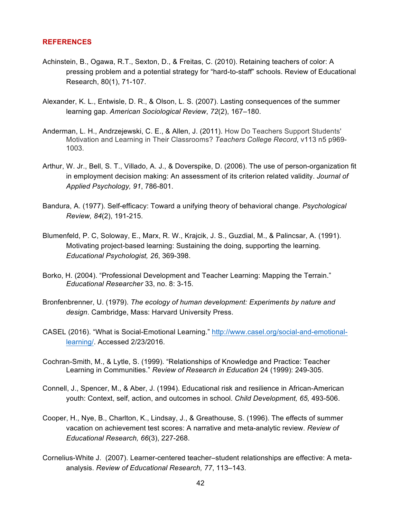#### **REFERENCES**

- Achinstein, B., Ogawa, R.T., Sexton, D., & Freitas, C. (2010). Retaining teachers of color: A pressing problem and a potential strategy for "hard-to-staff" schools. Review of Educational Research, 80(1), 71-107.
- Alexander, K. L., Entwisle, D. R., & Olson, L. S. (2007). Lasting consequences of the summer learning gap. *American Sociological Review*, *72*(2), 167–180.
- Anderman, L. H., Andrzejewski, C. E., & Allen, J. (2011). How Do Teachers Support Students' Motivation and Learning in Their Classrooms? *Teachers College Record*, v113 n5 p969- 1003.
- Arthur, W. Jr., Bell, S. T., Villado, A. J., & Doverspike, D. (2006). The use of person-organization fit in employment decision making: An assessment of its criterion related validity. *Journal of Applied Psychology, 91*, 786-801.
- Bandura, A. (1977). Self-efficacy: Toward a unifying theory of behavioral change. *Psychological Review, 84*(2), 191-215.
- Blumenfeld, P. C, Soloway, E., Marx, R. W., Krajcik, J. S., Guzdial, M., & Palincsar, A. (1991). Motivating project-based learning: Sustaining the doing, supporting the learning*. Educational Psychologist, 26*, 369-398.
- Borko, H. (2004). "Professional Development and Teacher Learning: Mapping the Terrain." *Educational Researcher* 33, no. 8: 3-15.
- Bronfenbrenner, U. (1979). *The ecology of human development: Experiments by nature and design*. Cambridge, Mass: Harvard University Press.
- CASEL (2016). "What is Social-Emotional Learning." http://www.casel.org/social-and-emotionallearning/. Accessed 2/23/2016.
- Cochran-Smith, M., & Lytle, S. (1999). "Relationships of Knowledge and Practice: Teacher Learning in Communities." *Review of Research in Education* 24 (1999): 249-305.
- Connell, J., Spencer, M., & Aber, J. (1994). Educational risk and resilience in African-American youth: Context, self, action, and outcomes in school. *Child Development, 65,* 493-506.
- Cooper, H., Nye, B., Charlton, K., Lindsay, J., & Greathouse, S. (1996). The effects of summer vacation on achievement test scores: A narrative and meta-analytic review. *Review of Educational Research, 66*(3), 227-268.
- Cornelius-White J. (2007). Learner-centered teacher–student relationships are effective: A metaanalysis. *Review of Educational Research, 77*, 113–143.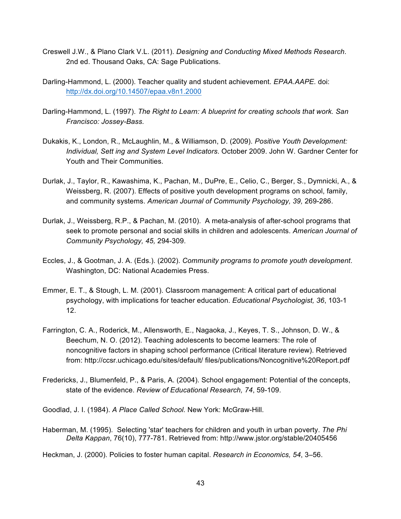- Creswell J.W., & Plano Clark V.L. (2011). *Designing and Conducting Mixed Methods Research*. 2nd ed. Thousand Oaks, CA: Sage Publications.
- Darling-Hammond, L. (2000). Teacher quality and student achievement. *EPAA.AAPE.* doi: http://dx.doi.org/10.14507/epaa.v8n1.2000
- Darling-Hammond, L. (1997). *The Right to Learn: A blueprint for creating schools that work. San Francisco: Jossey-Bass.*
- Dukakis, K., London, R., McLaughlin, M., & Williamson, D. (2009). *Positive Youth Development: Individual, Sett ing and System Level Indicators*. October 2009. John W. Gardner Center for Youth and Their Communities.
- Durlak, J., Taylor, R., Kawashima, K., Pachan, M., DuPre, E., Celio, C., Berger, S., Dymnicki, A., & Weissberg, R. (2007). Effects of positive youth development programs on school, family, and community systems. *American Journal of Community Psychology, 39,* 269-286.
- Durlak, J., Weissberg, R.P., & Pachan, M. (2010). A meta-analysis of after-school programs that seek to promote personal and social skills in children and adolescents. *American Journal of Community Psychology, 45,* 294-309.
- Eccles, J., & Gootman, J. A. (Eds.). (2002). *Community programs to promote youth development*. Washington, DC: National Academies Press.
- Emmer, E. T., & Stough, L. M. (2001). Classroom management: A critical part of educational psychology, with implications for teacher education. *Educational Psychologist, 36*, 103-1 12.
- Farrington, C. A., Roderick, M., Allensworth, E., Nagaoka, J., Keyes, T. S., Johnson, D. W., & Beechum, N. O. (2012). Teaching adolescents to become learners: The role of noncognitive factors in shaping school performance (Critical literature review). Retrieved from: http://ccsr.uchicago.edu/sites/default/ files/publications/Noncognitive%20Report.pdf
- Fredericks, J., Blumenfeld, P., & Paris, A. (2004). School engagement: Potential of the concepts, state of the evidence. *Review of Educational Research, 74*, 59-109.

Goodlad, J. I. (1984). *A Place Called School.* New York: McGraw-Hill.

Haberman, M. (1995). Selecting 'star' teachers for children and youth in urban poverty. *The Phi Delta Kappan*, 76(10), 777-781. Retrieved from: http://www.jstor.org/stable/20405456

Heckman, J. (2000). Policies to foster human capital. *Research in Economics, 54*, 3–56.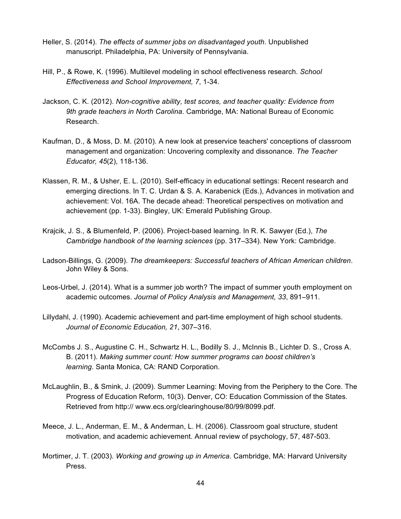- Heller, S. (2014). *The effects of summer jobs on disadvantaged youth*. Unpublished manuscript. Philadelphia, PA: University of Pennsylvania.
- Hill, P., & Rowe, K. (1996). Multilevel modeling in school effectiveness research. *School Effectiveness and School Improvement, 7*, 1-34.
- Jackson, C. K. (2012). *Non-cognitive ability, test scores, and teacher quality: Evidence from 9th grade teachers in North Carolina*. Cambridge, MA: National Bureau of Economic Research.
- Kaufman, D., & Moss, D. M. (2010). A new look at preservice teachers' conceptions of classroom management and organization: Uncovering complexity and dissonance. *The Teacher Educator, 45*(2), 118-136.
- Klassen, R. M., & Usher, E. L. (2010). Self-efficacy in educational settings: Recent research and emerging directions. In T. C. Urdan & S. A. Karabenick (Eds.), Advances in motivation and achievement: Vol. 16A. The decade ahead: Theoretical perspectives on motivation and achievement (pp. 1-33). Bingley, UK: Emerald Publishing Group.
- Krajcik, J. S., & Blumenfeld, P. (2006). Project-based learning. In R. K. Sawyer (Ed.), *The Cambridge handbook of the learning sciences* (pp. 317–334). New York: Cambridge.
- Ladson-Billings, G. (2009). *The dreamkeepers: Successful teachers of African American children*. John Wiley & Sons.
- Leos-Urbel, J. (2014). What is a summer job worth? The impact of summer youth employment on academic outcomes. *Journal of Policy Analysis and Management, 33*, 891–911.
- Lillydahl, J. (1990). Academic achievement and part-time employment of high school students. *Journal of Economic Education, 21*, 307–316.
- McCombs J. S., Augustine C. H., Schwartz H. L., Bodilly S. J., McInnis B., Lichter D. S., Cross A. B. (2011). *Making summer count: How summer programs can boost children's learning*. Santa Monica, CA: RAND Corporation.
- McLaughlin, B., & Smink, J. (2009). Summer Learning: Moving from the Periphery to the Core. The Progress of Education Reform, 10(3). Denver, CO: Education Commission of the States. Retrieved from http:// www.ecs.org/clearinghouse/80/99/8099.pdf.
- Meece, J. L., Anderman, E. M., & Anderman, L. H. (2006). Classroom goal structure, student motivation, and academic achievement. Annual review of psychology, 57, 487-503.
- Mortimer, J. T. (2003). *Working and growing up in America*. Cambridge, MA: Harvard University Press.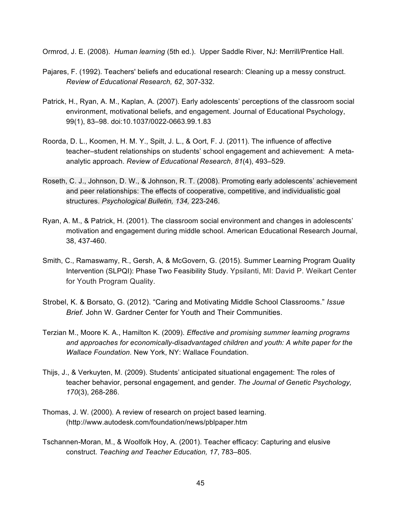Ormrod, J. E. (2008). *Human learning* (5th ed.). Upper Saddle River, NJ: Merrill/Prentice Hall.

- Pajares, F. (1992). Teachers' beliefs and educational research: Cleaning up a messy construct. *Review of Educational Research, 62*, 307-332.
- Patrick, H., Ryan, A. M., Kaplan, A. (2007). Early adolescents' perceptions of the classroom social environment, motivational beliefs, and engagement. Journal of Educational Psychology, 99(1), 83–98. doi:10.1037/0022-0663.99.1.83
- Roorda, D. L., Koomen, H. M. Y., Spilt, J. L., & Oort, F. J. (2011). The influence of affective teacher–student relationships on students' school engagement and achievement: A metaanalytic approach. *Review of Educational Research*, *81*(4), 493–529.
- Roseth, C. J., Johnson, D. W., & Johnson, R. T. (2008). Promoting early adolescents' achievement and peer relationships: The effects of cooperative, competitive, and individualistic goal structures. *Psychological Bulletin, 134,* 223-246.
- Ryan, A. M., & Patrick, H. (2001). The classroom social environment and changes in adolescents' motivation and engagement during middle school. American Educational Research Journal, 38, 437-460.
- Smith, C., Ramaswamy, R., Gersh, A, & McGovern, G. (2015). Summer Learning Program Quality Intervention (SLPQI): Phase Two Feasibility Study. Ypsilanti, MI: David P. Weikart Center for Youth Program Quality.
- Strobel, K. & Borsato, G. (2012). "Caring and Motivating Middle School Classrooms." *Issue Brief.* John W. Gardner Center for Youth and Their Communities.
- Terzian M., Moore K. A., Hamilton K. (2009). *Effective and promising summer learning programs and approaches for economically-disadvantaged children and youth: A white paper for the Wallace Foundation*. New York, NY: Wallace Foundation.
- Thijs, J., & Verkuyten, M. (2009). Students' anticipated situational engagement: The roles of teacher behavior, personal engagement, and gender. *The Journal of Genetic Psychology, 170*(3), 268-286.
- Thomas, J. W. (2000). A review of research on project based learning. (http://www.autodesk.com/foundation/news/pblpaper.htm
- Tschannen-Moran, M., & Woolfolk Hoy, A. (2001). Teacher efficacy: Capturing and elusive construct. *Teaching and Teacher Education, 17*, 783–805.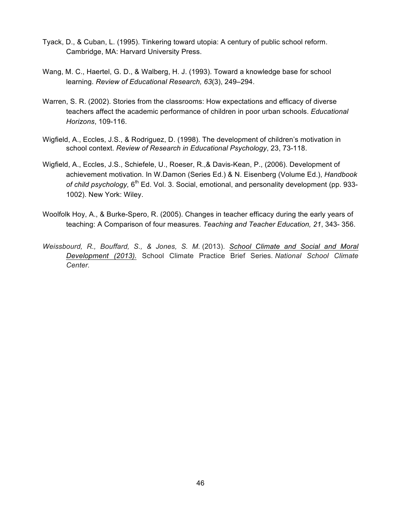- Tyack, D., & Cuban, L. (1995). Tinkering toward utopia: A century of public school reform. Cambridge, MA: Harvard University Press.
- Wang, M. C., Haertel, G. D., & Walberg, H. J. (1993). Toward a knowledge base for school learning. *Review of Educational Research, 63*(3), 249–294.
- Warren, S. R. (2002). Stories from the classrooms: How expectations and efficacy of diverse teachers affect the academic performance of children in poor urban schools. *Educational Horizons*, 109-116.
- Wigfield, A., Eccles, J.S., & Rodriguez, D. (1998). The development of children's motivation in school context. *Review of Research in Educational Psychology*, 23, 73-118.
- Wigfield, A., Eccles, J.S., Schiefele, U., Roeser, R.,& Davis-Kean, P., (2006). Development of achievement motivation. In W.Damon (Series Ed.) & N. Eisenberg (Volume Ed.), *Handbook*  of child psychology, 6<sup>th</sup> Ed. Vol. 3. Social, emotional, and personality development (pp. 933-1002). New York: Wiley.
- Woolfolk Hoy, A., & Burke-Spero, R. (2005). Changes in teacher efficacy during the early years of teaching: A Comparison of four measures. *Teaching and Teacher Education, 21*, 343- 356.
- *Weissbourd, R., Bouffard, S., & Jones, S. M.* (2013). *School Climate and Social and Moral Development (2013).* School Climate Practice Brief Series. *National School Climate Center.*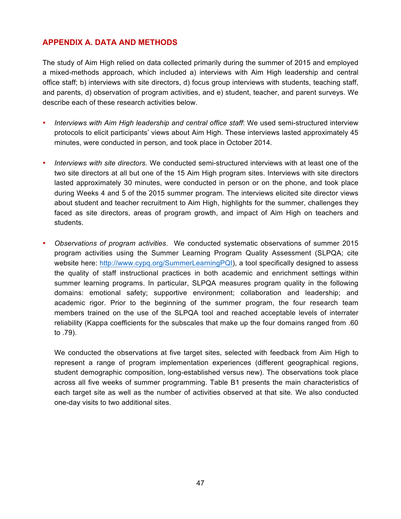## **APPENDIX A. DATA AND METHODS**

The study of Aim High relied on data collected primarily during the summer of 2015 and employed a mixed-methods approach, which included a) interviews with Aim High leadership and central office staff; b) interviews with site directors, d) focus group interviews with students, teaching staff, and parents, d) observation of program activities, and e) student, teacher, and parent surveys. We describe each of these research activities below.

- *Interviews with Aim High leadership and central office staff*: We used semi-structured interview protocols to elicit participants' views about Aim High. These interviews lasted approximately 45 minutes, were conducted in person, and took place in October 2014.
- *Interviews with site directors.* We conducted semi-structured interviews with at least one of the two site directors at all but one of the 15 Aim High program sites. Interviews with site directors lasted approximately 30 minutes, were conducted in person or on the phone, and took place during Weeks 4 and 5 of the 2015 summer program. The interviews elicited site director views about student and teacher recruitment to Aim High, highlights for the summer, challenges they faced as site directors, areas of program growth, and impact of Aim High on teachers and students.
- *Observations of program activities*. We conducted systematic observations of summer 2015 program activities using the Summer Learning Program Quality Assessment (SLPQA; cite website here: http://www.cypq.org/SummerLearningPQI), a tool specifically designed to assess the quality of staff instructional practices in both academic and enrichment settings within summer learning programs. In particular, SLPQA measures program quality in the following domains: emotional safety; supportive environment; collaboration and leadership; and academic rigor. Prior to the beginning of the summer program, the four research team members trained on the use of the SLPQA tool and reached acceptable levels of interrater reliability (Kappa coefficients for the subscales that make up the four domains ranged from .60 to .79).

We conducted the observations at five target sites, selected with feedback from Aim High to represent a range of program implementation experiences (different geographical regions, student demographic composition, long-established versus new). The observations took place across all five weeks of summer programming. Table B1 presents the main characteristics of each target site as well as the number of activities observed at that site. We also conducted one-day visits to two additional sites.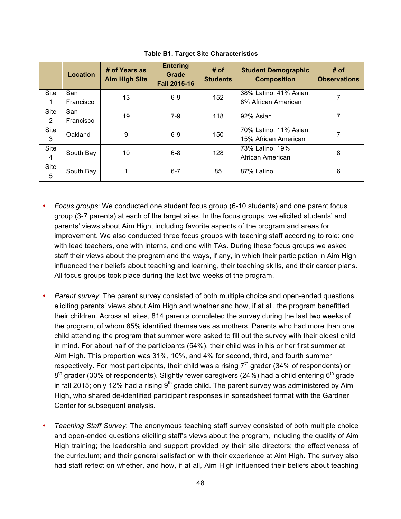| <b>Table B1. Target Site Characteristics</b> |                  |                                       |                                                 |                         |                                                  |                             |  |  |  |
|----------------------------------------------|------------------|---------------------------------------|-------------------------------------------------|-------------------------|--------------------------------------------------|-----------------------------|--|--|--|
|                                              | <b>Location</b>  | # of Years as<br><b>Aim High Site</b> | <b>Entering</b><br>Grade<br><b>Fall 2015-16</b> | # of<br><b>Students</b> | <b>Student Demographic</b><br><b>Composition</b> | # of<br><b>Observations</b> |  |  |  |
| <b>Site</b>                                  | San<br>Francisco | 13                                    | $6-9$                                           | 152                     | 38% Latino, 41% Asian,<br>8% African American    |                             |  |  |  |
| <b>Site</b><br>2                             | San<br>Francisco | 19                                    | $7-9$                                           | 118                     | 92% Asian                                        | 7                           |  |  |  |
| Site<br>3                                    | Oakland          | 9                                     | $6-9$                                           | 150                     | 70% Latino, 11% Asian,<br>15% African American   |                             |  |  |  |
| Site<br>4                                    | South Bay        | 10                                    | $6 - 8$                                         | 128                     | 73% Latino, 19%<br>African American              | 8                           |  |  |  |
| <b>Site</b><br>5                             | South Bay        |                                       | $6 - 7$                                         | 85                      | 87% Latino                                       | 6                           |  |  |  |

- *Focus groups*: We conducted one student focus group (6-10 students) and one parent focus group (3-7 parents) at each of the target sites. In the focus groups, we elicited students' and parents' views about Aim High, including favorite aspects of the program and areas for improvement. We also conducted three focus groups with teaching staff according to role: one with lead teachers, one with interns, and one with TAs. During these focus groups we asked staff their views about the program and the ways, if any, in which their participation in Aim High influenced their beliefs about teaching and learning, their teaching skills, and their career plans. All focus groups took place during the last two weeks of the program.
- *Parent survey*: The parent survey consisted of both multiple choice and open-ended questions eliciting parents' views about Aim High and whether and how, if at all, the program benefitted their children. Across all sites, 814 parents completed the survey during the last two weeks of the program, of whom 85% identified themselves as mothers. Parents who had more than one child attending the program that summer were asked to fill out the survey with their oldest child in mind. For about half of the participants (54%), their child was in his or her first summer at Aim High. This proportion was 31%, 10%, and 4% for second, third, and fourth summer respectively. For most participants, their child was a rising  $7<sup>th</sup>$  grader (34% of respondents) or  $8<sup>th</sup>$  grader (30% of respondents). Slightly fewer caregivers (24%) had a child entering  $6<sup>th</sup>$  grade in fall 2015; only 12% had a rising  $9<sup>th</sup>$  grade child. The parent survey was administered by Aim High, who shared de-identified participant responses in spreadsheet format with the Gardner Center for subsequent analysis.
- *Teaching Staff Survey*: The anonymous teaching staff survey consisted of both multiple choice and open-ended questions eliciting staff's views about the program, including the quality of Aim High training; the leadership and support provided by their site directors; the effectiveness of the curriculum; and their general satisfaction with their experience at Aim High. The survey also had staff reflect on whether, and how, if at all, Aim High influenced their beliefs about teaching